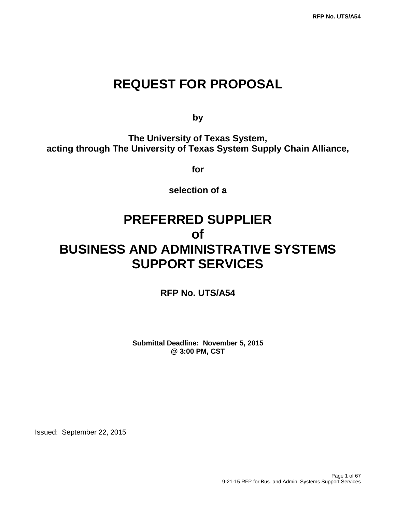## **REQUEST FOR PROPOSAL**

**by**

**The University of Texas System, acting through The University of Texas System Supply Chain Alliance,**

**for**

**selection of a**

# **PREFERRED SUPPLIER of BUSINESS AND ADMINISTRATIVE SYSTEMS SUPPORT SERVICES**

**RFP No. UTS/A54**

**Submittal Deadline: November 5, 2015 @ 3:00 PM, CST**

Issued: September 22, 2015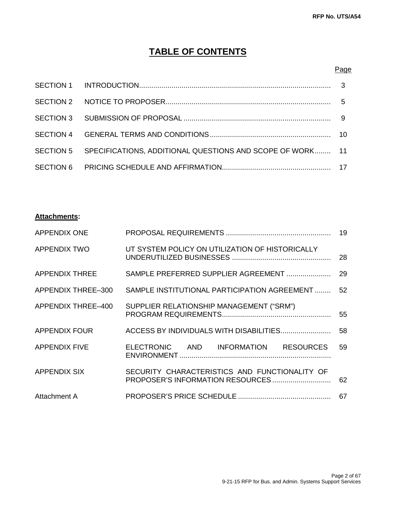## **TABLE OF CONTENTS**

### Page

| SECTION 5 SPECIFICATIONS, ADDITIONAL QUESTIONS AND SCOPE OF WORK 11 |  |
|---------------------------------------------------------------------|--|
|                                                                     |  |

### **Attachments:**

| <b>APPENDIX ONE</b>   |                                                 | 19 |
|-----------------------|-------------------------------------------------|----|
| <b>APPENDIX TWO</b>   | UT SYSTEM POLICY ON UTILIZATION OF HISTORICALLY | 28 |
| <b>APPENDIX THREE</b> | SAMPLE PREFERRED SUPPLIER AGREEMENT             | 29 |
| APPENDIX THREE-300    | SAMPLE INSTITUTIONAL PARTICIPATION AGREEMENT    | 52 |
| APPENDIX THREE-400    | SUPPLIER RELATIONSHIP MANAGEMENT ("SRM")        | 55 |
| <b>APPENDIX FOUR</b>  | ACCESS BY INDIVIDUALS WITH DISABILITIES         | 58 |
| <b>APPENDIX FIVE</b>  | ELECTRONIC AND INFORMATION RESOURCES            | 59 |
| <b>APPENDIX SIX</b>   | SECURITY CHARACTERISTICS AND FUNCTIONALITY OF   | 62 |
| Attachment A          |                                                 | 67 |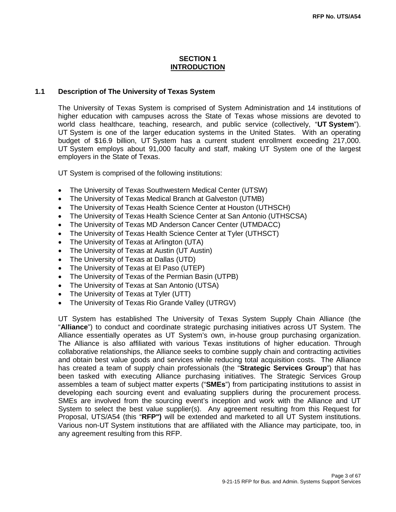### **SECTION 1 INTRODUCTION**

#### **1.1 Description of The University of Texas System**

The University of Texas System is comprised of System Administration and 14 institutions of higher education with campuses across the State of Texas whose missions are devoted to world class healthcare, teaching, research, and public service (collectively, "**UT System**"). UT System is one of the larger education systems in the United States. With an operating budget of \$16.9 billion, UT System has a current student enrollment exceeding 217,000. UT System employs about 91,000 faculty and staff, making UT System one of the largest employers in the State of Texas.

UT System is comprised of the following institutions:

- The University of Texas Southwestern Medical Center (UTSW)
- The University of Texas Medical Branch at Galveston (UTMB)
- The University of Texas Health Science Center at Houston (UTHSCH)
- The University of Texas Health Science Center at San Antonio (UTHSCSA)
- The University of Texas MD Anderson Cancer Center (UTMDACC)
- The University of Texas Health Science Center at Tyler (UTHSCT)
- The University of Texas at Arlington (UTA)
- The University of Texas at Austin (UT Austin)
- The University of Texas at Dallas (UTD)
- The University of Texas at El Paso (UTEP)
- The University of Texas of the Permian Basin (UTPB)
- The University of Texas at San Antonio (UTSA)
- The University of Texas at Tyler (UTT)
- The University of Texas Rio Grande Valley (UTRGV)

UT System has established The University of Texas System Supply Chain Alliance (the "**Alliance**") to conduct and coordinate strategic purchasing initiatives across UT System. The Alliance essentially operates as UT System's own, in-house group purchasing organization. The Alliance is also affiliated with various Texas institutions of higher education. Through collaborative relationships, the Alliance seeks to combine supply chain and contracting activities and obtain best value goods and services while reducing total acquisition costs. The Alliance has created a team of supply chain professionals (the "**Strategic Services Group**") that has been tasked with executing Alliance purchasing initiatives. The Strategic Services Group assembles a team of subject matter experts ("**SMEs**") from participating institutions to assist in developing each sourcing event and evaluating suppliers during the procurement process. SMEs are involved from the sourcing event's inception and work with the Alliance and UT System to select the best value supplier(s). Any agreement resulting from this Request for Proposal, UTS/A54 (this "**RFP")** will be extended and marketed to all UT System institutions. Various non-UT System institutions that are affiliated with the Alliance may participate, too, in any agreement resulting from this RFP.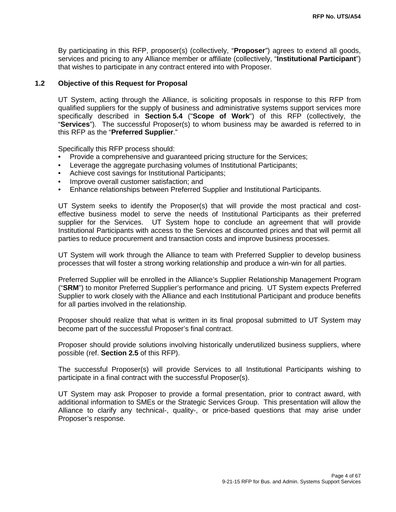By participating in this RFP, proposer(s) (collectively, "**Proposer**") agrees to extend all goods, services and pricing to any Alliance member or affiliate (collectively, "**Institutional Participant**") that wishes to participate in any contract entered into with Proposer.

### **1.2 Objective of this Request for Proposal**

UT System, acting through the Alliance, is soliciting proposals in response to this RFP from qualified suppliers for the supply of business and administrative systems support services more specifically described in **Section 5.4** ("**Scope of Work**") of this RFP (collectively, the "**Services**"). The successful Proposer(s) to whom business may be awarded is referred to in this RFP as the "**Preferred Supplier**."

Specifically this RFP process should:

- Provide a comprehensive and guaranteed pricing structure for the Services;
- Leverage the aggregate purchasing volumes of Institutional Participants;
- Achieve cost savings for Institutional Participants;
- Improve overall customer satisfaction; and
- Enhance relationships between Preferred Supplier and Institutional Participants.

UT System seeks to identify the Proposer(s) that will provide the most practical and costeffective business model to serve the needs of Institutional Participants as their preferred supplier for the Services. UT System hope to conclude an agreement that will provide Institutional Participants with access to the Services at discounted prices and that will permit all parties to reduce procurement and transaction costs and improve business processes.

UT System will work through the Alliance to team with Preferred Supplier to develop business processes that will foster a strong working relationship and produce a win-win for all parties.

Preferred Supplier will be enrolled in the Alliance's Supplier Relationship Management Program ("**SRM**") to monitor Preferred Supplier's performance and pricing. UT System expects Preferred Supplier to work closely with the Alliance and each Institutional Participant and produce benefits for all parties involved in the relationship.

Proposer should realize that what is written in its final proposal submitted to UT System may become part of the successful Proposer's final contract.

Proposer should provide solutions involving historically underutilized business suppliers, where possible (ref. **Section 2.5** of this RFP).

The successful Proposer(s) will provide Services to all Institutional Participants wishing to participate in a final contract with the successful Proposer(s).

UT System may ask Proposer to provide a formal presentation, prior to contract award, with additional information to SMEs or the Strategic Services Group. This presentation will allow the Alliance to clarify any technical-, quality-, or price-based questions that may arise under Proposer's response.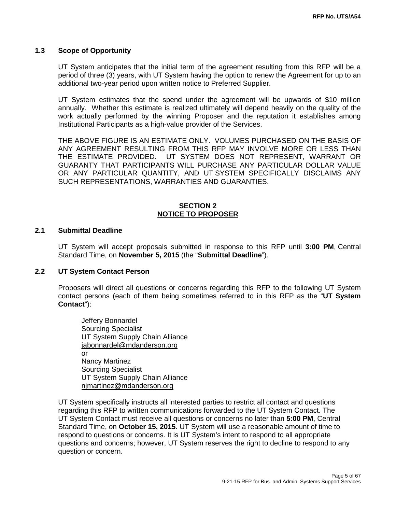#### **1.3 Scope of Opportunity**

UT System anticipates that the initial term of the agreement resulting from this RFP will be a period of three (3) years, with UT System having the option to renew the Agreement for up to an additional two-year period upon written notice to Preferred Supplier.

UT System estimates that the spend under the agreement will be upwards of \$10 million annually. Whether this estimate is realized ultimately will depend heavily on the quality of the work actually performed by the winning Proposer and the reputation it establishes among Institutional Participants as a high-value provider of the Services.

THE ABOVE FIGURE IS AN ESTIMATE ONLY. VOLUMES PURCHASED ON THE BASIS OF ANY AGREEMENT RESULTING FROM THIS RFP MAY INVOLVE MORE OR LESS THAN THE ESTIMATE PROVIDED. UT SYSTEM DOES NOT REPRESENT, WARRANT OR GUARANTY THAT PARTICIPANTS WILL PURCHASE ANY PARTICULAR DOLLAR VALUE OR ANY PARTICULAR QUANTITY, AND UT SYSTEM SPECIFICALLY DISCLAIMS ANY SUCH REPRESENTATIONS, WARRANTIES AND GUARANTIES.

### **SECTION 2 NOTICE TO PROPOSER**

#### **2.1 Submittal Deadline**

UT System will accept proposals submitted in response to this RFP until **3:00 PM**, Central Standard Time, on **November 5, 2015** (the "**Submittal Deadline**").

#### **2.2 UT System Contact Person**

Proposers will direct all questions or concerns regarding this RFP to the following UT System contact persons (each of them being sometimes referred to in this RFP as the "**UT System Contact**"):

Jeffery Bonnardel Sourcing Specialist UT System Supply Chain Alliance [jabonnardel@mdanderson.org](mailto:jabonnardel@mdanderson.org) or Nancy Martinez Sourcing Specialist UT System Supply Chain Alliance [njmartinez@mdanderson.org](mailto:njmartinez@mdanderson.org)

UT System specifically instructs all interested parties to restrict all contact and questions regarding this RFP to written communications forwarded to the UT System Contact. The UT System Contact must receive all questions or concerns no later than **5:00 PM**, Central Standard Time, on **October 15, 2015**. UT System will use a reasonable amount of time to respond to questions or concerns. It is UT System's intent to respond to all appropriate questions and concerns; however, UT System reserves the right to decline to respond to any question or concern.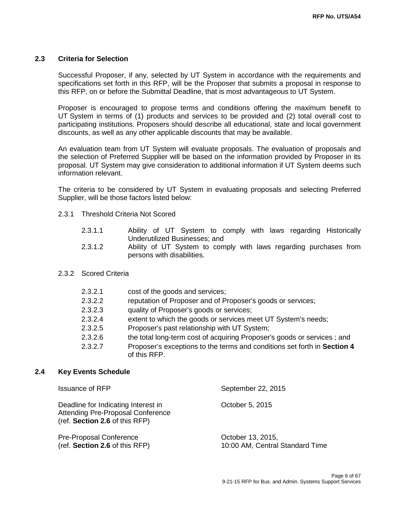### **2.3 Criteria for Selection**

Successful Proposer, if any, selected by UT System in accordance with the requirements and specifications set forth in this RFP, will be the Proposer that submits a proposal in response to this RFP, on or before the Submittal Deadline, that is most advantageous to UT System.

Proposer is encouraged to propose terms and conditions offering the maximum benefit to UT System in terms of (1) products and services to be provided and (2) total overall cost to participating institutions. Proposers should describe all educational, state and local government discounts, as well as any other applicable discounts that may be available.

An evaluation team from UT System will evaluate proposals. The evaluation of proposals and the selection of Preferred Supplier will be based on the information provided by Proposer in its proposal. UT System may give consideration to additional information if UT System deems such information relevant.

The criteria to be considered by UT System in evaluating proposals and selecting Preferred Supplier, will be those factors listed below:

- 2.3.1 Threshold Criteria Not Scored
	- 2.3.1.1 Ability of UT System to comply with laws regarding Historically Underutilized Businesses; and
	- 2.3.1.2 Ability of UT System to comply with laws regarding purchases from persons with disabilities.
- 2.3.2 Scored Criteria

| 2.3.2.1 | cost of the goods and services;                                                          |
|---------|------------------------------------------------------------------------------------------|
| 2.3.2.2 | reputation of Proposer and of Proposer's goods or services;                              |
| 2.3.2.3 | quality of Proposer's goods or services;                                                 |
| 2.3.2.4 | extent to which the goods or services meet UT System's needs;                            |
| 2.3.2.5 | Proposer's past relationship with UT System;                                             |
| 2.3.2.6 | the total long-term cost of acquiring Proposer's goods or services; and                  |
| 2.3.2.7 | Proposer's exceptions to the terms and conditions set forth in Section 4<br>of this RFP. |
|         |                                                                                          |

#### **2.4 Key Events Schedule**

| <b>Issuance of RFP</b>                                                                                            | September 22, 2015                                   |
|-------------------------------------------------------------------------------------------------------------------|------------------------------------------------------|
| Deadline for Indicating Interest in<br><b>Attending Pre-Proposal Conference</b><br>(ref. Section 2.6 of this RFP) | October 5, 2015                                      |
| <b>Pre-Proposal Conference</b><br>(ref. Section 2.6 of this RFP)                                                  | October 13, 2015,<br>10:00 AM, Central Standard Time |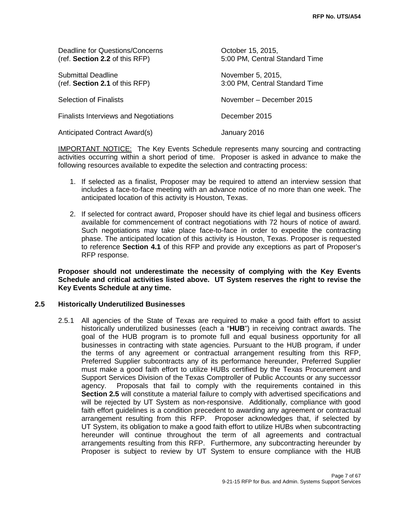| Deadline for Questions/Concerns<br>(ref. Section 2.2 of this RFP) | October 15, 2015,<br>5:00 PM, Central Standard Time |
|-------------------------------------------------------------------|-----------------------------------------------------|
| Submittal Deadline<br>(ref. Section 2.1 of this RFP)              | November 5, 2015,<br>3:00 PM, Central Standard Time |
| <b>Selection of Finalists</b>                                     | November – December 2015                            |
| <b>Finalists Interviews and Negotiations</b>                      | December 2015                                       |
| Anticipated Contract Award(s)                                     | January 2016                                        |

IMPORTANT NOTICE: The Key Events Schedule represents many sourcing and contracting activities occurring within a short period of time. Proposer is asked in advance to make the following resources available to expedite the selection and contracting process:

- 1. If selected as a finalist, Proposer may be required to attend an interview session that includes a face-to-face meeting with an advance notice of no more than one week. The anticipated location of this activity is Houston, Texas.
- 2. If selected for contract award, Proposer should have its chief legal and business officers available for commencement of contract negotiations with 72 hours of notice of award. Such negotiations may take place face-to-face in order to expedite the contracting phase. The anticipated location of this activity is Houston, Texas. Proposer is requested to reference **Section 4.1** of this RFP and provide any exceptions as part of Proposer's RFP response.

**Proposer should not underestimate the necessity of complying with the Key Events Schedule and critical activities listed above. UT System reserves the right to revise the Key Events Schedule at any time.**

### **2.5 Historically Underutilized Businesses**

2.5.1 All agencies of the State of Texas are required to make a good faith effort to assist historically underutilized businesses (each a "**HUB**") in receiving contract awards. The goal of the HUB program is to promote full and equal business opportunity for all businesses in contracting with state agencies. Pursuant to the HUB program, if under the terms of any agreement or contractual arrangement resulting from this RFP, Preferred Supplier subcontracts any of its performance hereunder, Preferred Supplier must make a good faith effort to utilize HUBs certified by the Texas Procurement and Support Services Division of the Texas Comptroller of Public Accounts or any successor agency. Proposals that fail to comply with the requirements contained in this **Section 2.5** will constitute a material failure to comply with advertised specifications and will be rejected by UT System as non-responsive. Additionally, compliance with good faith effort guidelines is a condition precedent to awarding any agreement or contractual arrangement resulting from this RFP. Proposer acknowledges that, if selected by UT System, its obligation to make a good faith effort to utilize HUBs when subcontracting hereunder will continue throughout the term of all agreements and contractual arrangements resulting from this RFP. Furthermore, any subcontracting hereunder by Proposer is subject to review by UT System to ensure compliance with the HUB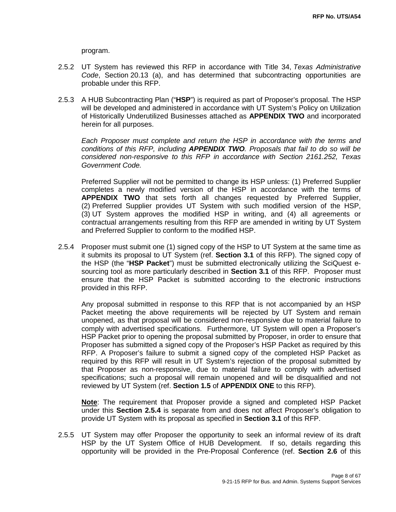program.

- 2.5.2 UT System has reviewed this RFP in accordance with Title 34, *Texas Administrative Code*, Section 20.13 (a), and has determined that subcontracting opportunities are probable under this RFP.
- 2.5.3 A HUB Subcontracting Plan ("**HSP**") is required as part of Proposer's proposal. The HSP will be developed and administered in accordance with UT System's Policy on Utilization of Historically Underutilized Businesses attached as **APPENDIX TWO** and incorporated herein for all purposes.

*Each Proposer must complete and return the HSP in accordance with the terms and conditions of this RFP, including APPENDIX TWO. Proposals that fail to do so will be considered non-responsive to this RFP in accordance with Section 2161.252, Texas Government Code.*

Preferred Supplier will not be permitted to change its HSP unless: (1) Preferred Supplier completes a newly modified version of the HSP in accordance with the terms of **APPENDIX TWO** that sets forth all changes requested by Preferred Supplier, (2) Preferred Supplier provides UT System with such modified version of the HSP, (3) UT System approves the modified HSP in writing, and (4) all agreements or contractual arrangements resulting from this RFP are amended in writing by UT System and Preferred Supplier to conform to the modified HSP.

2.5.4 Proposer must submit one (1) signed copy of the HSP to UT System at the same time as it submits its proposal to UT System (ref. **Section 3.1** of this RFP). The signed copy of the HSP (the "**HSP Packet**") must be submitted electronically utilizing the SciQuest esourcing tool as more particularly described in **Section 3.1** of this RFP. Proposer must ensure that the HSP Packet is submitted according to the electronic instructions provided in this RFP.

Any proposal submitted in response to this RFP that is not accompanied by an HSP Packet meeting the above requirements will be rejected by UT System and remain unopened, as that proposal will be considered non-responsive due to material failure to comply with advertised specifications. Furthermore, UT System will open a Proposer's HSP Packet prior to opening the proposal submitted by Proposer, in order to ensure that Proposer has submitted a signed copy of the Proposer's HSP Packet as required by this RFP. A Proposer's failure to submit a signed copy of the completed HSP Packet as required by this RFP will result in UT System's rejection of the proposal submitted by that Proposer as non-responsive, due to material failure to comply with advertised specifications; such a proposal will remain unopened and will be disqualified and not reviewed by UT System (ref. **Section 1.5** of **APPENDIX ONE** to this RFP).

**Note**: The requirement that Proposer provide a signed and completed HSP Packet under this **Section 2.5.4** is separate from and does not affect Proposer's obligation to provide UT System with its proposal as specified in **Section 3.1** of this RFP.

2.5.5 UT System may offer Proposer the opportunity to seek an informal review of its draft HSP by the UT System Office of HUB Development. If so, details regarding this opportunity will be provided in the Pre-Proposal Conference (ref. **Section 2.6** of this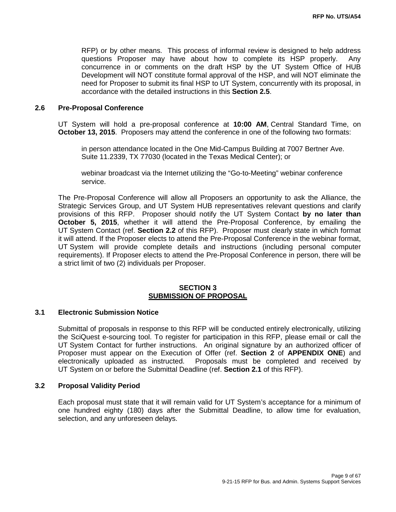RFP) or by other means. This process of informal review is designed to help address questions Proposer may have about how to complete its HSP properly. Any concurrence in or comments on the draft HSP by the UT System Office of HUB Development will NOT constitute formal approval of the HSP, and will NOT eliminate the need for Proposer to submit its final HSP to UT System, concurrently with its proposal, in accordance with the detailed instructions in this **Section 2.5**.

#### **2.6 Pre-Proposal Conference**

UT System will hold a pre-proposal conference at **10:00 AM**, Central Standard Time, on **October 13, 2015**. Proposers may attend the conference in one of the following two formats:

in person attendance located in the One Mid-Campus Building at 7007 Bertner Ave. Suite 11.2339, TX 77030 (located in the Texas Medical Center); or

webinar broadcast via the Internet utilizing the "Go-to-Meeting" webinar conference service.

The Pre-Proposal Conference will allow all Proposers an opportunity to ask the Alliance, the Strategic Services Group, and UT System HUB representatives relevant questions and clarify provisions of this RFP. Proposer should notify the UT System Contact **by no later than October 5, 2015**, whether it will attend the Pre-Proposal Conference, by emailing the UT System Contact (ref. **Section 2.2** of this RFP). Proposer must clearly state in which format it will attend. If the Proposer elects to attend the Pre-Proposal Conference in the webinar format, UT System will provide complete details and instructions (including personal computer requirements). If Proposer elects to attend the Pre-Proposal Conference in person, there will be a strict limit of two (2) individuals per Proposer.

#### **SECTION 3 SUBMISSION OF PROPOSAL**

#### **3.1 Electronic Submission Notice**

Submittal of proposals in response to this RFP will be conducted entirely electronically, utilizing the SciQuest e-sourcing tool. To register for participation in this RFP, please email or call the UT System Contact for further instructions. An original signature by an authorized officer of Proposer must appear on the Execution of Offer (ref. **Section 2** of **APPENDIX ONE**) and Proposals must be completed and received by UT System on or before the Submittal Deadline (ref. **Section 2.1** of this RFP).

#### **3.2 Proposal Validity Period**

Each proposal must state that it will remain valid for UT System's acceptance for a minimum of one hundred eighty (180) days after the Submittal Deadline, to allow time for evaluation, selection, and any unforeseen delays.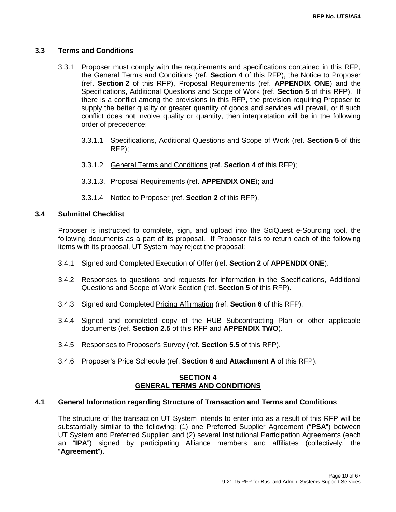### **3.3 Terms and Conditions**

- 3.3.1 Proposer must comply with the requirements and specifications contained in this RFP, the General Terms and Conditions (ref. **Section 4** of this RFP), the Notice to Proposer (ref. **Section 2** of this RFP), Proposal Requirements (ref. **APPENDIX ONE**) and the Specifications, Additional Questions and Scope of Work (ref. **Section 5** of this RFP). If there is a conflict among the provisions in this RFP, the provision requiring Proposer to supply the better quality or greater quantity of goods and services will prevail, or if such conflict does not involve quality or quantity, then interpretation will be in the following order of precedence:
	- 3.3.1.1 Specifications, Additional Questions and Scope of Work (ref. **Section 5** of this RFP);
	- 3.3.1.2 General Terms and Conditions (ref. **Section 4** of this RFP);
	- 3.3.1.3. Proposal Requirements (ref. **APPENDIX ONE**); and
	- 3.3.1.4 Notice to Proposer (ref. **Section 2** of this RFP).

#### **3.4 Submittal Checklist**

Proposer is instructed to complete, sign, and upload into the SciQuest e-Sourcing tool, the following documents as a part of its proposal. If Proposer fails to return each of the following items with its proposal, UT System may reject the proposal:

- 3.4.1 Signed and Completed Execution of Offer (ref. **Section 2** of **APPENDIX ONE**).
- 3.4.2 Responses to questions and requests for information in the Specifications, Additional Questions and Scope of Work Section (ref. **Section 5** of this RFP).
- 3.4.3 Signed and Completed Pricing Affirmation (ref. **Section 6** of this RFP).
- 3.4.4 Signed and completed copy of the HUB Subcontracting Plan or other applicable documents (ref. **Section 2.5** of this RFP and **APPENDIX TWO**).
- 3.4.5 Responses to Proposer's Survey (ref. **Section 5.5** of this RFP).
- 3.4.6 Proposer's Price Schedule (ref. **Section 6** and **Attachment A** of this RFP).

#### **SECTION 4 GENERAL TERMS AND CONDITIONS**

### **4.1 General Information regarding Structure of Transaction and Terms and Conditions**

The structure of the transaction UT System intends to enter into as a result of this RFP will be substantially similar to the following: (1) one Preferred Supplier Agreement ("**PSA**") between UT System and Preferred Supplier; and (2) several Institutional Participation Agreements (each an "**IPA**") signed by participating Alliance members and affiliates (collectively, the "**Agreement**").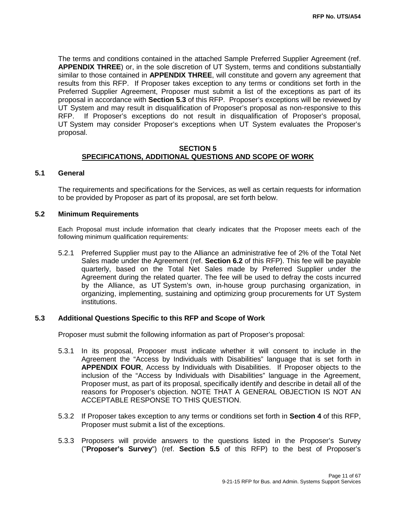The terms and conditions contained in the attached Sample Preferred Supplier Agreement (ref. **APPENDIX THREE**) or, in the sole discretion of UT System, terms and conditions substantially similar to those contained in **APPENDIX THREE**, will constitute and govern any agreement that results from this RFP. If Proposer takes exception to any terms or conditions set forth in the Preferred Supplier Agreement, Proposer must submit a list of the exceptions as part of its proposal in accordance with **Section 5.3** of this RFP. Proposer's exceptions will be reviewed by UT System and may result in disqualification of Proposer's proposal as non-responsive to this RFP. If Proposer's exceptions do not result in disqualification of Proposer's proposal, UT System may consider Proposer's exceptions when UT System evaluates the Proposer's proposal.

### **SECTION 5 SPECIFICATIONS, ADDITIONAL QUESTIONS AND SCOPE OF WORK**

#### **5.1 General**

The requirements and specifications for the Services, as well as certain requests for information to be provided by Proposer as part of its proposal, are set forth below.

#### **5.2 Minimum Requirements**

Each Proposal must include information that clearly indicates that the Proposer meets each of the following minimum qualification requirements:

5.2.1 Preferred Supplier must pay to the Alliance an administrative fee of 2% of the Total Net Sales made under the Agreement (ref. **Section 6.2** of this RFP). This fee will be payable quarterly, based on the Total Net Sales made by Preferred Supplier under the Agreement during the related quarter. The fee will be used to defray the costs incurred by the Alliance, as UT System's own, in-house group purchasing organization, in organizing, implementing, sustaining and optimizing group procurements for UT System institutions.

### **5.3 Additional Questions Specific to this RFP and Scope of Work**

Proposer must submit the following information as part of Proposer's proposal:

- 5.3.1 In its proposal, Proposer must indicate whether it will consent to include in the Agreement the "Access by Individuals with Disabilities" language that is set forth in **APPENDIX FOUR**, Access by Individuals with Disabilities. If Proposer objects to the inclusion of the "Access by Individuals with Disabilities" language in the Agreement, Proposer must, as part of its proposal, specifically identify and describe in detail all of the reasons for Proposer's objection. NOTE THAT A GENERAL OBJECTION IS NOT AN ACCEPTABLE RESPONSE TO THIS QUESTION.
- 5.3.2 If Proposer takes exception to any terms or conditions set forth in **Section 4** of this RFP, Proposer must submit a list of the exceptions.
- 5.3.3 Proposers will provide answers to the questions listed in the Proposer's Survey ("**Proposer's Survey**") (ref. **Section 5.5** of this RFP) to the best of Proposer's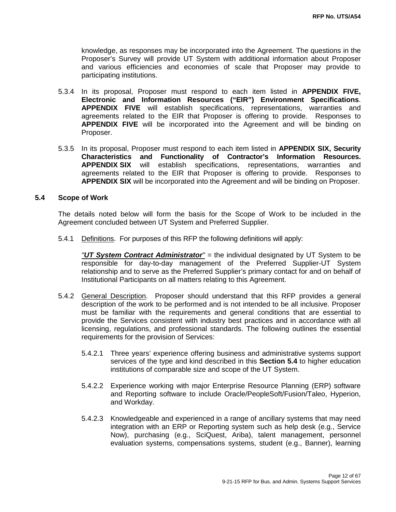knowledge, as responses may be incorporated into the Agreement. The questions in the Proposer's Survey will provide UT System with additional information about Proposer and various efficiencies and economies of scale that Proposer may provide to participating institutions.

- 5.3.4 In its proposal, Proposer must respond to each item listed in **APPENDIX FIVE, Electronic and Information Resources ("EIR") Environment Specifications**. **APPENDIX FIVE** will establish specifications, representations, warranties and agreements related to the EIR that Proposer is offering to provide. Responses to **APPENDIX FIVE** will be incorporated into the Agreement and will be binding on Proposer.
- 5.3.5 In its proposal, Proposer must respond to each item listed in **APPENDIX SIX, Security Characteristics and Functionality of Contractor's Information Resources. APPENDIX SIX** will establish specifications, representations, warranties and agreements related to the EIR that Proposer is offering to provide. Responses to **APPENDIX SIX** will be incorporated into the Agreement and will be binding on Proposer.

### **5.4 Scope of Work**

The details noted below will form the basis for the Scope of Work to be included in the Agreement concluded between UT System and Preferred Supplier.

5.4.1 Definitions. For purposes of this RFP the following definitions will apply:

*"UT System Contract Administrator" =* the individual designated by UT System to be responsible for day-to-day management of the Preferred Supplier-UT System relationship and to serve as the Preferred Supplier's primary contact for and on behalf of Institutional Participants on all matters relating to this Agreement.

- 5.4.2 General Description. Proposer should understand that this RFP provides a general description of the work to be performed and is not intended to be all inclusive. Proposer must be familiar with the requirements and general conditions that are essential to provide the Services consistent with industry best practices and in accordance with all licensing, regulations, and professional standards. The following outlines the essential requirements for the provision of Services:
	- 5.4.2.1 Three years' experience offering business and administrative systems support services of the type and kind described in this **Section 5.4** to higher education institutions of comparable size and scope of the UT System.
	- 5.4.2.2 Experience working with major Enterprise Resource Planning (ERP) software and Reporting software to include Oracle/PeopleSoft/Fusion/Taleo, Hyperion, and Workday.
	- 5.4.2.3 Knowledgeable and experienced in a range of ancillary systems that may need integration with an ERP or Reporting system such as help desk (e.g., Service Now), purchasing (e.g., SciQuest, Ariba), talent management, personnel evaluation systems, compensations systems, student (e.g., Banner), learning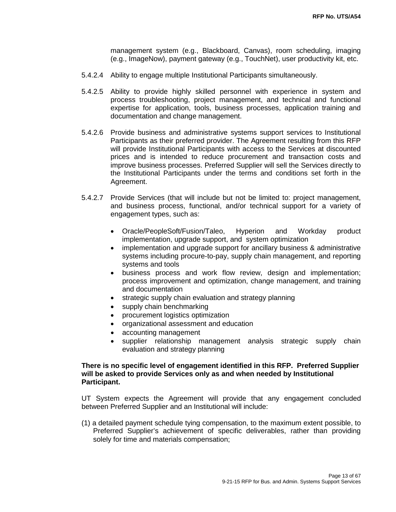management system (e.g., Blackboard, Canvas), room scheduling, imaging (e.g., ImageNow), payment gateway (e.g., TouchNet), user productivity kit, etc.

- 5.4.2.4 Ability to engage multiple Institutional Participants simultaneously.
- 5.4.2.5 Ability to provide highly skilled personnel with experience in system and process troubleshooting, project management, and technical and functional expertise for application, tools, business processes, application training and documentation and change management.
- 5.4.2.6 Provide business and administrative systems support services to Institutional Participants as their preferred provider. The Agreement resulting from this RFP will provide Institutional Participants with access to the Services at discounted prices and is intended to reduce procurement and transaction costs and improve business processes. Preferred Supplier will sell the Services directly to the Institutional Participants under the terms and conditions set forth in the Agreement.
- 5.4.2.7 Provide Services (that will include but not be limited to: project management, and business process, functional, and/or technical support for a variety of engagement types, such as:
	- Oracle/PeopleSoft/Fusion/Taleo, Hyperion and Workday product implementation, upgrade support, and system optimization
	- implementation and upgrade support for ancillary business & administrative systems including procure-to-pay, supply chain management, and reporting systems and tools
	- business process and work flow review, design and implementation; process improvement and optimization, change management, and training and documentation
	- strategic supply chain evaluation and strategy planning
	- supply chain benchmarking
	- procurement logistics optimization
	- organizational assessment and education
	- accounting management
	- supplier relationship management analysis strategic supply chain evaluation and strategy planning

### **There is no specific level of engagement identified in this RFP. Preferred Supplier will be asked to provide Services only as and when needed by Institutional Participant.**

UT System expects the Agreement will provide that any engagement concluded between Preferred Supplier and an Institutional will include:

(1) a detailed payment schedule tying compensation, to the maximum extent possible, to Preferred Supplier's achievement of specific deliverables, rather than providing solely for time and materials compensation;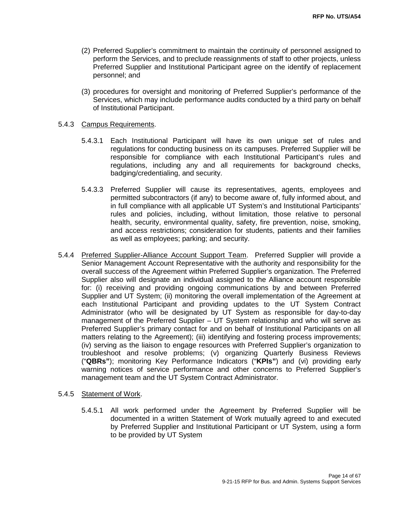- (2) Preferred Supplier's commitment to maintain the continuity of personnel assigned to perform the Services, and to preclude reassignments of staff to other projects, unless Preferred Supplier and Institutional Participant agree on the identify of replacement personnel; and
- (3) procedures for oversight and monitoring of Preferred Supplier's performance of the Services, which may include performance audits conducted by a third party on behalf of Institutional Participant.

#### 5.4.3 Campus Requirements.

- 5.4.3.1 Each Institutional Participant will have its own unique set of rules and regulations for conducting business on its campuses. Preferred Supplier will be responsible for compliance with each Institutional Participant's rules and regulations, including any and all requirements for background checks, badging/credentialing, and security.
- 5.4.3.3 Preferred Supplier will cause its representatives, agents, employees and permitted subcontractors (if any) to become aware of, fully informed about, and in full compliance with all applicable UT System's and Institutional Participants' rules and policies, including, without limitation, those relative to personal health, security, environmental quality, safety, fire prevention, noise, smoking, and access restrictions; consideration for students, patients and their families as well as employees; parking; and security.
- 5.4.4 Preferred Supplier-Alliance Account Support Team. Preferred Supplier will provide a Senior Management Account Representative with the authority and responsibility for the overall success of the Agreement within Preferred Supplier's organization. The Preferred Supplier also will designate an individual assigned to the Alliance account responsible for: (i) receiving and providing ongoing communications by and between Preferred Supplier and UT System; (ii) monitoring the overall implementation of the Agreement at each Institutional Participant and providing updates to the UT System Contract Administrator (who will be designated by UT System as responsible for day-to-day management of the Preferred Supplier – UT System relationship and who will serve as Preferred Supplier's primary contact for and on behalf of Institutional Participants on all matters relating to the Agreement); (iii) identifying and fostering process improvements; (iv) serving as the liaison to engage resources with Preferred Supplier's organization to troubleshoot and resolve problems; (v) organizing Quarterly Business Reviews ("**QBRs"**); monitoring Key Performance Indicators ("**KPIs"**) and (vi) providing early warning notices of service performance and other concerns to Preferred Supplier's management team and the UT System Contract Administrator.

#### 5.4.5 Statement of Work.

5.4.5.1 All work performed under the Agreement by Preferred Supplier will be documented in a written Statement of Work mutually agreed to and executed by Preferred Supplier and Institutional Participant or UT System, using a form to be provided by UT System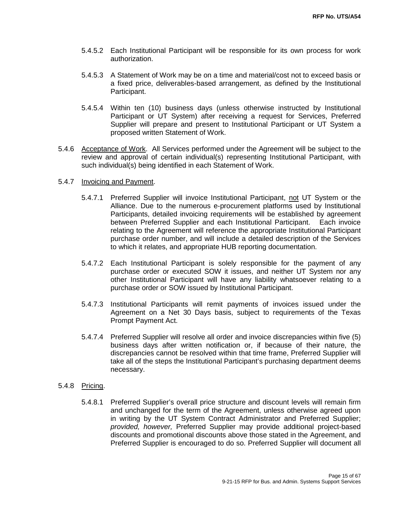- 5.4.5.2 Each Institutional Participant will be responsible for its own process for work authorization.
- 5.4.5.3 A Statement of Work may be on a time and material/cost not to exceed basis or a fixed price, deliverables-based arrangement, as defined by the Institutional Participant.
- 5.4.5.4 Within ten (10) business days (unless otherwise instructed by Institutional Participant or UT System) after receiving a request for Services, Preferred Supplier will prepare and present to Institutional Participant or UT System a proposed written Statement of Work.
- 5.4.6 Acceptance of Work. All Services performed under the Agreement will be subject to the review and approval of certain individual(s) representing Institutional Participant, with such individual(s) being identified in each Statement of Work.
- 5.4.7 Invoicing and Payment.
	- 5.4.7.1 Preferred Supplier will invoice Institutional Participant, not UT System or the Alliance. Due to the numerous e-procurement platforms used by Institutional Participants, detailed invoicing requirements will be established by agreement between Preferred Supplier and each Institutional Participant. Each invoice relating to the Agreement will reference the appropriate Institutional Participant purchase order number, and will include a detailed description of the Services to which it relates, and appropriate HUB reporting documentation.
	- 5.4.7.2 Each Institutional Participant is solely responsible for the payment of any purchase order or executed SOW it issues, and neither UT System nor any other Institutional Participant will have any liability whatsoever relating to a purchase order or SOW issued by Institutional Participant.
	- 5.4.7.3 Institutional Participants will remit payments of invoices issued under the Agreement on a Net 30 Days basis, subject to requirements of the Texas Prompt Payment Act.
	- 5.4.7.4 Preferred Supplier will resolve all order and invoice discrepancies within five (5) business days after written notification or, if because of their nature, the discrepancies cannot be resolved within that time frame, Preferred Supplier will take all of the steps the Institutional Participant's purchasing department deems necessary.
- 5.4.8 Pricing.
	- 5.4.8.1 Preferred Supplier's overall price structure and discount levels will remain firm and unchanged for the term of the Agreement, unless otherwise agreed upon in writing by the UT System Contract Administrator and Preferred Supplier; *provided, however,* Preferred Supplier may provide additional project-based discounts and promotional discounts above those stated in the Agreement, and Preferred Supplier is encouraged to do so. Preferred Supplier will document all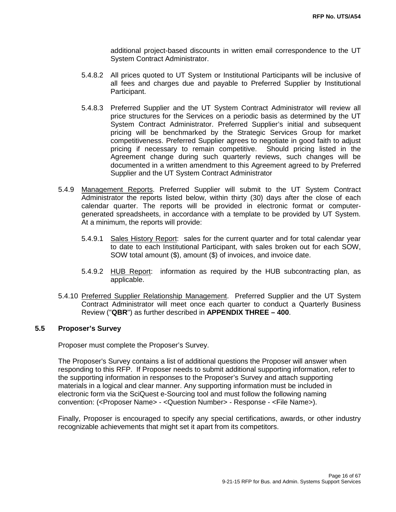additional project-based discounts in written email correspondence to the UT System Contract Administrator.

- 5.4.8.2 All prices quoted to UT System or Institutional Participants will be inclusive of all fees and charges due and payable to Preferred Supplier by Institutional Participant.
- 5.4.8.3 Preferred Supplier and the UT System Contract Administrator will review all price structures for the Services on a periodic basis as determined by the UT System Contract Administrator. Preferred Supplier's initial and subsequent pricing will be benchmarked by the Strategic Services Group for market competitiveness. Preferred Supplier agrees to negotiate in good faith to adjust pricing if necessary to remain competitive. Should pricing listed in the Agreement change during such quarterly reviews, such changes will be documented in a written amendment to this Agreement agreed to by Preferred Supplier and the UT System Contract Administrator
- 5.4.9 Management Reports. Preferred Supplier will submit to the UT System Contract Administrator the reports listed below, within thirty (30) days after the close of each calendar quarter. The reports will be provided in electronic format or computergenerated spreadsheets, in accordance with a template to be provided by UT System. At a minimum, the reports will provide:
	- 5.4.9.1 Sales History Report: sales for the current quarter and for total calendar year to date to each Institutional Participant, with sales broken out for each SOW, SOW total amount (\$), amount (\$) of invoices, and invoice date.
	- 5.4.9.2 HUB Report: information as required by the HUB subcontracting plan, as applicable.
- 5.4.10 Preferred Supplier Relationship Management. Preferred Supplier and the UT System Contract Administrator will meet once each quarter to conduct a Quarterly Business Review ("**QBR**") as further described in **APPENDIX THREE – 400**.

### **5.5 Proposer's Survey**

Proposer must complete the Proposer's Survey.

The Proposer's Survey contains a list of additional questions the Proposer will answer when responding to this RFP. If Proposer needs to submit additional supporting information, refer to the supporting information in responses to the Proposer's Survey and attach supporting materials in a logical and clear manner. Any supporting information must be included in electronic form via the SciQuest e-Sourcing tool and must follow the following naming convention: (<Proposer Name> - <Question Number> - Response - <File Name>).

Finally, Proposer is encouraged to specify any special certifications, awards, or other industry recognizable achievements that might set it apart from its competitors.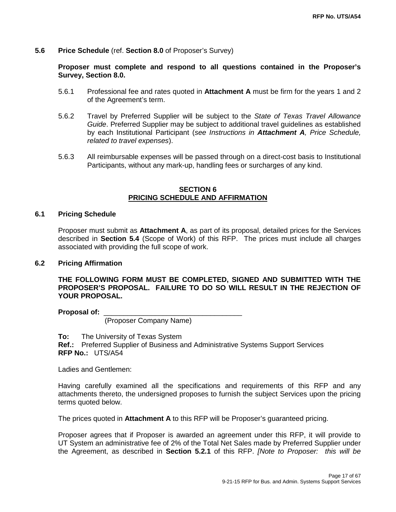#### **5.6 Price Schedule** (ref. **Section 8.0** of Proposer's Survey)

**Proposer must complete and respond to all questions contained in the Proposer's Survey, Section 8.0.**

- 5.6.1 Professional fee and rates quoted in **Attachment A** must be firm for the years 1 and 2 of the Agreement's term.
- 5.6.2 Travel by Preferred Supplier will be subject to the *State of Texas Travel Allowance Guide*. Preferred Supplier may be subject to additional travel guidelines as established by each Institutional Participant (*see Instructions in Attachment A, Price Schedule, related to travel expenses*).
- 5.6.3 All reimbursable expenses will be passed through on a direct-cost basis to Institutional Participants, without any mark-up, handling fees or surcharges of any kind.

#### **SECTION 6 PRICING SCHEDULE AND AFFIRMATION**

#### **6.1 Pricing Schedule**

Proposer must submit as **Attachment A**, as part of its proposal, detailed prices for the Services described in **Section 5.4** (Scope of Work) of this RFP. The prices must include all charges associated with providing the full scope of work.

#### **6.2 Pricing Affirmation**

**THE FOLLOWING FORM MUST BE COMPLETED, SIGNED AND SUBMITTED WITH THE PROPOSER'S PROPOSAL. FAILURE TO DO SO WILL RESULT IN THE REJECTION OF YOUR PROPOSAL.**

**Proposal of:** \_\_\_\_\_\_\_\_\_\_\_\_\_\_\_\_\_\_\_\_\_\_\_\_\_\_\_\_\_\_\_\_\_\_\_

(Proposer Company Name)

**To:** The University of Texas System **Ref.:** Preferred Supplier of Business and Administrative Systems Support Services **RFP No.:** UTS/A54

Ladies and Gentlemen:

Having carefully examined all the specifications and requirements of this RFP and any attachments thereto, the undersigned proposes to furnish the subject Services upon the pricing terms quoted below.

The prices quoted in **Attachment A** to this RFP will be Proposer's guaranteed pricing.

Proposer agrees that if Proposer is awarded an agreement under this RFP, it will provide to UT System an administrative fee of 2% of the Total Net Sales made by Preferred Supplier under the Agreement, as described in **Section 5.2.1** of this RFP. *[Note to Proposer: this will be*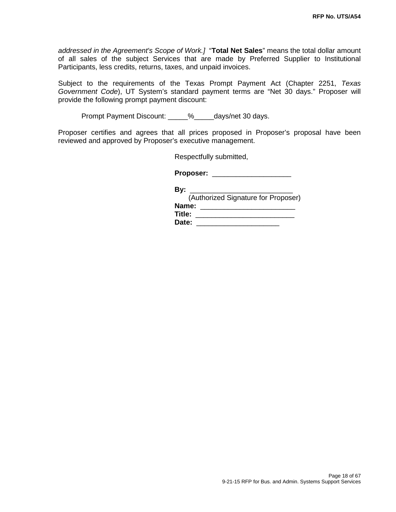*addressed in the Agreement's Scope of Work.]* "**Total Net Sales**" means the total dollar amount of all sales of the subject Services that are made by Preferred Supplier to Institutional Participants, less credits, returns, taxes, and unpaid invoices.

Subject to the requirements of the Texas Prompt Payment Act (Chapter 2251, *Texas Government Code*), UT System's standard payment terms are "Net 30 days." Proposer will provide the following prompt payment discount:

Prompt Payment Discount: \_\_\_\_\_%\_\_\_\_\_days/net 30 days.

Proposer certifies and agrees that all prices proposed in Proposer's proposal have been reviewed and approved by Proposer's executive management.

Respectfully submitted,

**Proposer:** \_\_\_\_\_\_\_\_\_\_\_\_\_\_\_\_\_\_\_\_

| (Authorized Signature for Proposer) |
|-------------------------------------|
|                                     |
|                                     |
|                                     |
|                                     |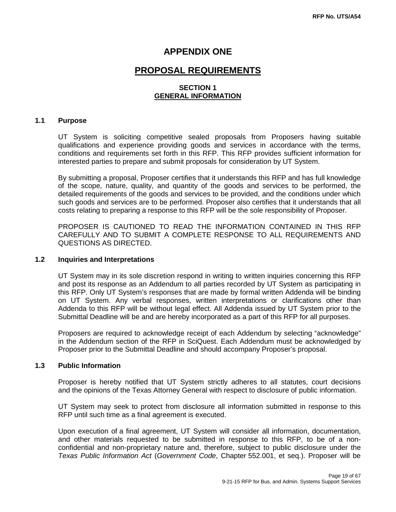### **APPENDIX ONE**

## **PROPOSAL REQUIREMENTS**

### **SECTION 1 GENERAL INFORMATION**

#### **1.1 Purpose**

UT System is soliciting competitive sealed proposals from Proposers having suitable qualifications and experience providing goods and services in accordance with the terms, conditions and requirements set forth in this RFP. This RFP provides sufficient information for interested parties to prepare and submit proposals for consideration by UT System.

By submitting a proposal, Proposer certifies that it understands this RFP and has full knowledge of the scope, nature, quality, and quantity of the goods and services to be performed, the detailed requirements of the goods and services to be provided, and the conditions under which such goods and services are to be performed. Proposer also certifies that it understands that all costs relating to preparing a response to this RFP will be the sole responsibility of Proposer.

PROPOSER IS CAUTIONED TO READ THE INFORMATION CONTAINED IN THIS RFP CAREFULLY AND TO SUBMIT A COMPLETE RESPONSE TO ALL REQUIREMENTS AND QUESTIONS AS DIRECTED.

### **1.2 Inquiries and Interpretations**

UT System may in its sole discretion respond in writing to written inquiries concerning this RFP and post its response as an Addendum to all parties recorded by UT System as participating in this RFP. Only UT System's responses that are made by formal written Addenda will be binding on UT System. Any verbal responses, written interpretations or clarifications other than Addenda to this RFP will be without legal effect. All Addenda issued by UT System prior to the Submittal Deadline will be and are hereby incorporated as a part of this RFP for all purposes.

Proposers are required to acknowledge receipt of each Addendum by selecting "acknowledge" in the Addendum section of the RFP in SciQuest. Each Addendum must be acknowledged by Proposer prior to the Submittal Deadline and should accompany Proposer's proposal.

#### **1.3 Public Information**

Proposer is hereby notified that UT System strictly adheres to all statutes, court decisions and the opinions of the Texas Attorney General with respect to disclosure of public information.

UT System may seek to protect from disclosure all information submitted in response to this RFP until such time as a final agreement is executed.

Upon execution of a final agreement, UT System will consider all information, documentation, and other materials requested to be submitted in response to this RFP, to be of a nonconfidential and non-proprietary nature and, therefore, subject to public disclosure under the *Texas Public Information Act* (*Government Code*, Chapter 552.001, et seq.). Proposer will be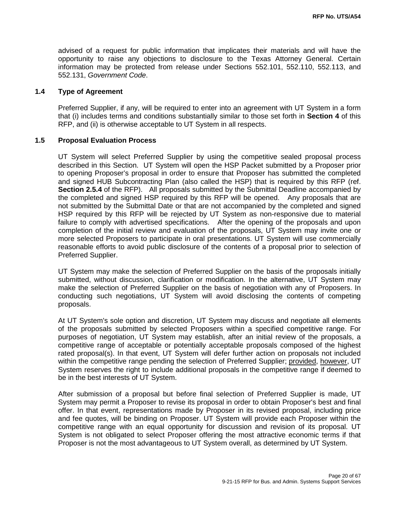advised of a request for public information that implicates their materials and will have the opportunity to raise any objections to disclosure to the Texas Attorney General. Certain information may be protected from release under Sections 552.101, 552.110, 552.113, and 552.131, *Government Code*.

#### **1.4 Type of Agreement**

Preferred Supplier, if any, will be required to enter into an agreement with UT System in a form that (i) includes terms and conditions substantially similar to those set forth in **Section 4** of this RFP, and (ii) is otherwise acceptable to UT System in all respects.

#### **1.5 Proposal Evaluation Process**

UT System will select Preferred Supplier by using the competitive sealed proposal process described in this Section. UT System will open the HSP Packet submitted by a Proposer prior to opening Proposer's proposal in order to ensure that Proposer has submitted the completed and signed HUB Subcontracting Plan (also called the HSP) that is required by this RFP (ref. **Section 2.5.4** of the RFP). All proposals submitted by the Submittal Deadline accompanied by the completed and signed HSP required by this RFP will be opened. Any proposals that are not submitted by the Submittal Date or that are not accompanied by the completed and signed HSP required by this RFP will be rejected by UT System as non-responsive due to material failure to comply with advertised specifications. After the opening of the proposals and upon completion of the initial review and evaluation of the proposals, UT System may invite one or more selected Proposers to participate in oral presentations. UT System will use commercially reasonable efforts to avoid public disclosure of the contents of a proposal prior to selection of Preferred Supplier.

UT System may make the selection of Preferred Supplier on the basis of the proposals initially submitted, without discussion, clarification or modification. In the alternative, UT System may make the selection of Preferred Supplier on the basis of negotiation with any of Proposers. In conducting such negotiations, UT System will avoid disclosing the contents of competing proposals.

At UT System's sole option and discretion, UT System may discuss and negotiate all elements of the proposals submitted by selected Proposers within a specified competitive range. For purposes of negotiation, UT System may establish, after an initial review of the proposals, a competitive range of acceptable or potentially acceptable proposals composed of the highest rated proposal(s). In that event, UT System will defer further action on proposals not included within the competitive range pending the selection of Preferred Supplier; provided, however, UT System reserves the right to include additional proposals in the competitive range if deemed to be in the best interests of UT System.

After submission of a proposal but before final selection of Preferred Supplier is made, UT System may permit a Proposer to revise its proposal in order to obtain Proposer's best and final offer. In that event, representations made by Proposer in its revised proposal, including price and fee quotes, will be binding on Proposer. UT System will provide each Proposer within the competitive range with an equal opportunity for discussion and revision of its proposal. UT System is not obligated to select Proposer offering the most attractive economic terms if that Proposer is not the most advantageous to UT System overall, as determined by UT System.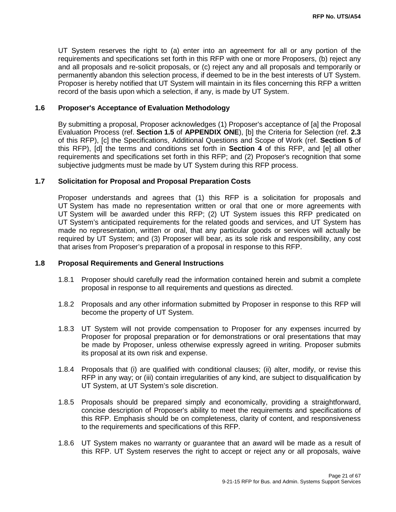UT System reserves the right to (a) enter into an agreement for all or any portion of the requirements and specifications set forth in this RFP with one or more Proposers, (b) reject any and all proposals and re-solicit proposals, or (c) reject any and all proposals and temporarily or permanently abandon this selection process, if deemed to be in the best interests of UT System. Proposer is hereby notified that UT System will maintain in its files concerning this RFP a written record of the basis upon which a selection, if any, is made by UT System.

#### **1.6 Proposer's Acceptance of Evaluation Methodology**

By submitting a proposal, Proposer acknowledges (1) Proposer's acceptance of [a] the Proposal Evaluation Process (ref. **Section 1.5** of **APPENDIX ONE**), [b] the Criteria for Selection (ref. **2.3**  of this RFP), [c] the Specifications, Additional Questions and Scope of Work (ref. **Section 5** of this RFP), [d] the terms and conditions set forth in **Section 4** of this RFP, and [e] all other requirements and specifications set forth in this RFP; and (2) Proposer's recognition that some subjective judgments must be made by UT System during this RFP process.

#### **1.7 Solicitation for Proposal and Proposal Preparation Costs**

Proposer understands and agrees that (1) this RFP is a solicitation for proposals and UT System has made no representation written or oral that one or more agreements with UT System will be awarded under this RFP; (2) UT System issues this RFP predicated on UT System's anticipated requirements for the related goods and services, and UT System has made no representation, written or oral, that any particular goods or services will actually be required by UT System; and (3) Proposer will bear, as its sole risk and responsibility, any cost that arises from Proposer's preparation of a proposal in response to this RFP.

### **1.8 Proposal Requirements and General Instructions**

- 1.8.1 Proposer should carefully read the information contained herein and submit a complete proposal in response to all requirements and questions as directed.
- 1.8.2 Proposals and any other information submitted by Proposer in response to this RFP will become the property of UT System.
- 1.8.3 UT System will not provide compensation to Proposer for any expenses incurred by Proposer for proposal preparation or for demonstrations or oral presentations that may be made by Proposer, unless otherwise expressly agreed in writing. Proposer submits its proposal at its own risk and expense.
- 1.8.4 Proposals that (i) are qualified with conditional clauses; (ii) alter, modify, or revise this RFP in any way; or (iii) contain irregularities of any kind, are subject to disqualification by UT System, at UT System's sole discretion.
- 1.8.5 Proposals should be prepared simply and economically, providing a straightforward, concise description of Proposer's ability to meet the requirements and specifications of this RFP. Emphasis should be on completeness, clarity of content, and responsiveness to the requirements and specifications of this RFP.
- 1.8.6 UT System makes no warranty or guarantee that an award will be made as a result of this RFP. UT System reserves the right to accept or reject any or all proposals, waive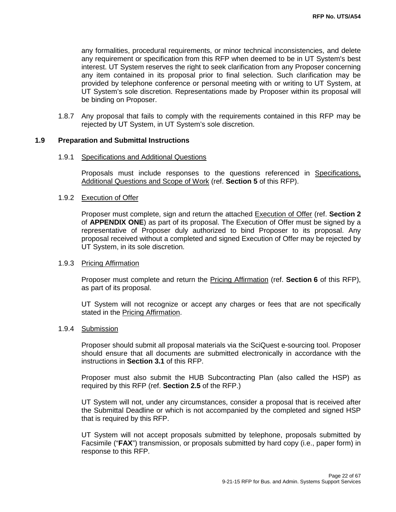any formalities, procedural requirements, or minor technical inconsistencies, and delete any requirement or specification from this RFP when deemed to be in UT System's best interest. UT System reserves the right to seek clarification from any Proposer concerning any item contained in its proposal prior to final selection. Such clarification may be provided by telephone conference or personal meeting with or writing to UT System, at UT System's sole discretion. Representations made by Proposer within its proposal will be binding on Proposer.

1.8.7 Any proposal that fails to comply with the requirements contained in this RFP may be rejected by UT System, in UT System's sole discretion.

#### **1.9 Preparation and Submittal Instructions**

#### 1.9.1 Specifications and Additional Questions

Proposals must include responses to the questions referenced in Specifications, Additional Questions and Scope of Work (ref. **Section 5** of this RFP).

### 1.9.2 Execution of Offer

Proposer must complete, sign and return the attached Execution of Offer (ref. **Section 2**  of **APPENDIX ONE**) as part of its proposal. The Execution of Offer must be signed by a representative of Proposer duly authorized to bind Proposer to its proposal. Any proposal received without a completed and signed Execution of Offer may be rejected by UT System, in its sole discretion.

#### 1.9.3 Pricing Affirmation

Proposer must complete and return the Pricing Affirmation (ref. **Section 6** of this RFP), as part of its proposal.

UT System will not recognize or accept any charges or fees that are not specifically stated in the Pricing Affirmation.

#### 1.9.4 Submission

Proposer should submit all proposal materials via the SciQuest e-sourcing tool. Proposer should ensure that all documents are submitted electronically in accordance with the instructions in **Section 3.1** of this RFP.

Proposer must also submit the HUB Subcontracting Plan (also called the HSP) as required by this RFP (ref. **Section 2.5** of the RFP.)

UT System will not, under any circumstances, consider a proposal that is received after the Submittal Deadline or which is not accompanied by the completed and signed HSP that is required by this RFP.

UT System will not accept proposals submitted by telephone, proposals submitted by Facsimile ("**FAX**") transmission, or proposals submitted by hard copy (i.e., paper form) in response to this RFP.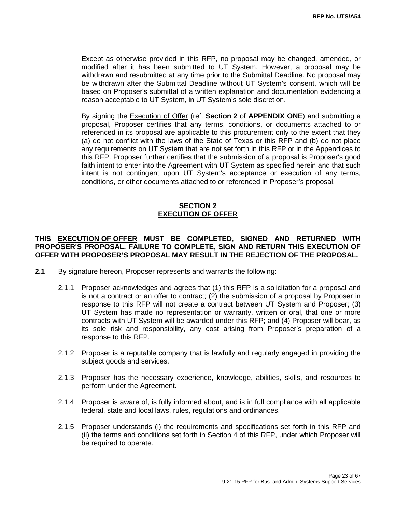Except as otherwise provided in this RFP, no proposal may be changed, amended, or modified after it has been submitted to UT System. However, a proposal may be withdrawn and resubmitted at any time prior to the Submittal Deadline. No proposal may be withdrawn after the Submittal Deadline without UT System's consent, which will be based on Proposer's submittal of a written explanation and documentation evidencing a reason acceptable to UT System, in UT System's sole discretion.

By signing the Execution of Offer (ref. **Section 2** of **APPENDIX ONE**) and submitting a proposal, Proposer certifies that any terms, conditions, or documents attached to or referenced in its proposal are applicable to this procurement only to the extent that they (a) do not conflict with the laws of the State of Texas or this RFP and (b) do not place any requirements on UT System that are not set forth in this RFP or in the Appendices to this RFP. Proposer further certifies that the submission of a proposal is Proposer's good faith intent to enter into the Agreement with UT System as specified herein and that such intent is not contingent upon UT System's acceptance or execution of any terms, conditions, or other documents attached to or referenced in Proposer's proposal.

### **SECTION 2 EXECUTION OF OFFER**

### **THIS EXECUTION OF OFFER MUST BE COMPLETED, SIGNED AND RETURNED WITH PROPOSER'S PROPOSAL. FAILURE TO COMPLETE, SIGN AND RETURN THIS EXECUTION OF OFFER WITH PROPOSER'S PROPOSAL MAY RESULT IN THE REJECTION OF THE PROPOSAL.**

- **2.1** By signature hereon, Proposer represents and warrants the following:
	- 2.1.1 Proposer acknowledges and agrees that (1) this RFP is a solicitation for a proposal and is not a contract or an offer to contract; (2) the submission of a proposal by Proposer in response to this RFP will not create a contract between UT System and Proposer; (3) UT System has made no representation or warranty, written or oral, that one or more contracts with UT System will be awarded under this RFP; and (4) Proposer will bear, as its sole risk and responsibility, any cost arising from Proposer's preparation of a response to this RFP.
	- 2.1.2 Proposer is a reputable company that is lawfully and regularly engaged in providing the subject goods and services.
	- 2.1.3 Proposer has the necessary experience, knowledge, abilities, skills, and resources to perform under the Agreement.
	- 2.1.4 Proposer is aware of, is fully informed about, and is in full compliance with all applicable federal, state and local laws, rules, regulations and ordinances.
	- 2.1.5 Proposer understands (i) the requirements and specifications set forth in this RFP and (ii) the terms and conditions set forth in Section 4 of this RFP, under which Proposer will be required to operate.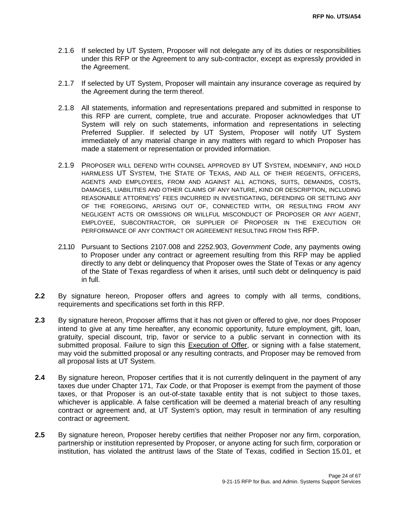- 2.1.6 If selected by UT System, Proposer will not delegate any of its duties or responsibilities under this RFP or the Agreement to any sub-contractor, except as expressly provided in the Agreement.
- 2.1.7 If selected by UT System, Proposer will maintain any insurance coverage as required by the Agreement during the term thereof.
- 2.1.8 All statements, information and representations prepared and submitted in response to this RFP are current, complete, true and accurate. Proposer acknowledges that UT System will rely on such statements, information and representations in selecting Preferred Supplier. If selected by UT System, Proposer will notify UT System immediately of any material change in any matters with regard to which Proposer has made a statement or representation or provided information.
- 2.1.9 PROPOSER WILL DEFEND WITH COUNSEL APPROVED BY UT SYSTEM, INDEMNIFY, AND HOLD HARMLESS UT SYSTEM, THE STATE OF TEXAS, AND ALL OF THEIR REGENTS, OFFICERS, AGENTS AND EMPLOYEES, FROM AND AGAINST ALL ACTIONS, SUITS, DEMANDS, COSTS, DAMAGES, LIABILITIES AND OTHER CLAIMS OF ANY NATURE, KIND OR DESCRIPTION, INCLUDING REASONABLE ATTORNEYS' FEES INCURRED IN INVESTIGATING, DEFENDING OR SETTLING ANY OF THE FOREGOING, ARISING OUT OF, CONNECTED WITH, OR RESULTING FROM ANY NEGLIGENT ACTS OR OMISSIONS OR WILLFUL MISCONDUCT OF PROPOSER OR ANY AGENT, EMPLOYEE, SUBCONTRACTOR, OR SUPPLIER OF PROPOSER IN THE EXECUTION OR PERFORMANCE OF ANY CONTRACT OR AGREEMENT RESULTING FROM THIS RFP.
- 2.1.10 Pursuant to Sections 2107.008 and 2252.903, *Government Code*, any payments owing to Proposer under any contract or agreement resulting from this RFP may be applied directly to any debt or delinquency that Proposer owes the State of Texas or any agency of the State of Texas regardless of when it arises, until such debt or delinquency is paid in full.
- **2.2** By signature hereon, Proposer offers and agrees to comply with all terms, conditions, requirements and specifications set forth in this RFP.
- **2.3** By signature hereon, Proposer affirms that it has not given or offered to give, nor does Proposer intend to give at any time hereafter, any economic opportunity, future employment, gift, loan, gratuity, special discount, trip, favor or service to a public servant in connection with its submitted proposal. Failure to sign this Execution of Offer, or signing with a false statement, may void the submitted proposal or any resulting contracts, and Proposer may be removed from all proposal lists at UT System.
- **2.4** By signature hereon, Proposer certifies that it is not currently delinquent in the payment of any taxes due under Chapter 171, *Tax Code*, or that Proposer is exempt from the payment of those taxes, or that Proposer is an out-of-state taxable entity that is not subject to those taxes, whichever is applicable. A false certification will be deemed a material breach of any resulting contract or agreement and, at UT System's option, may result in termination of any resulting contract or agreement.
- 2.5 By signature hereon, Proposer hereby certifies that neither Proposer nor any firm, corporation, partnership or institution represented by Proposer, or anyone acting for such firm, corporation or institution, has violated the antitrust laws of the State of Texas, codified in Section 15.01, et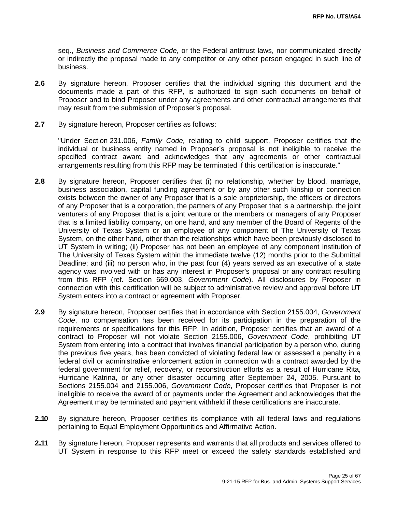seq., *Business and Commerce Code*, or the Federal antitrust laws, nor communicated directly or indirectly the proposal made to any competitor or any other person engaged in such line of business.

- **2.6** By signature hereon, Proposer certifies that the individual signing this document and the documents made a part of this RFP, is authorized to sign such documents on behalf of Proposer and to bind Proposer under any agreements and other contractual arrangements that may result from the submission of Proposer's proposal.
- **2.7** By signature hereon, Proposer certifies as follows:

"Under Section 231.006, *Family Code,* relating to child support, Proposer certifies that the individual or business entity named in Proposer's proposal is not ineligible to receive the specified contract award and acknowledges that any agreements or other contractual arrangements resulting from this RFP may be terminated if this certification is inaccurate."

- **2.8** By signature hereon, Proposer certifies that (i) no relationship, whether by blood, marriage, business association, capital funding agreement or by any other such kinship or connection exists between the owner of any Proposer that is a sole proprietorship, the officers or directors of any Proposer that is a corporation, the partners of any Proposer that is a partnership, the joint venturers of any Proposer that is a joint venture or the members or managers of any Proposer that is a limited liability company, on one hand, and any member of the Board of Regents of the University of Texas System or an employee of any component of The University of Texas System, on the other hand, other than the relationships which have been previously disclosed to UT System in writing; (ii) Proposer has not been an employee of any component institution of The University of Texas System within the immediate twelve (12) months prior to the Submittal Deadline; and (iii) no person who, in the past four (4) years served as an executive of a state agency was involved with or has any interest in Proposer's proposal or any contract resulting from this RFP (ref. Section 669.003, *Government Code*). All disclosures by Proposer in connection with this certification will be subject to administrative review and approval before UT System enters into a contract or agreement with Proposer.
- **2.9** By signature hereon, Proposer certifies that in accordance with Section 2155.004, *Government Code*, no compensation has been received for its participation in the preparation of the requirements or specifications for this RFP. In addition, Proposer certifies that an award of a contract to Proposer will not violate Section 2155.006, *Government Code*, prohibiting UT System from entering into a contract that involves financial participation by a person who, during the previous five years, has been convicted of violating federal law or assessed a penalty in a federal civil or administrative enforcement action in connection with a contract awarded by the federal government for relief, recovery, or reconstruction efforts as a result of Hurricane Rita, Hurricane Katrina, or any other disaster occurring after September 24, 2005. Pursuant to Sections 2155.004 and 2155.006, *Government Code*, Proposer certifies that Proposer is not ineligible to receive the award of or payments under the Agreement and acknowledges that the Agreement may be terminated and payment withheld if these certifications are inaccurate.
- **2..10** By signature hereon, Proposer certifies its compliance with all federal laws and regulations pertaining to Equal Employment Opportunities and Affirmative Action.
- **2..11** By signature hereon, Proposer represents and warrants that all products and services offered to UT System in response to this RFP meet or exceed the safety standards established and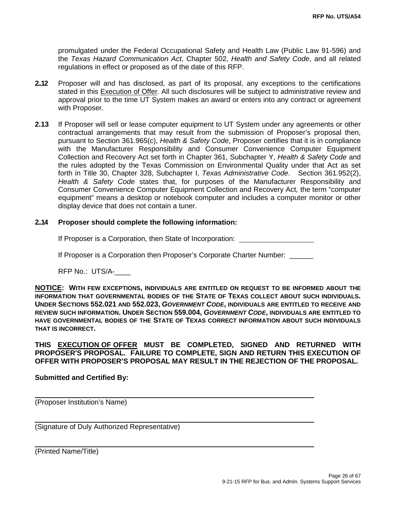promulgated under the Federal Occupational Safety and Health Law (Public Law 91-596) and the *Texas Hazard Communication Act*, Chapter 502, *Health and Safety Code*, and all related regulations in effect or proposed as of the date of this RFP.

- **2..12** Proposer will and has disclosed, as part of its proposal, any exceptions to the certifications stated in this Execution of Offer. All such disclosures will be subject to administrative review and approval prior to the time UT System makes an award or enters into any contract or agreement with Proposer.
- **2.13** If Proposer will sell or lease computer equipment to UT System under any agreements or other contractual arrangements that may result from the submission of Proposer's proposal then, pursuant to Section 361.965(c), *Health & Safety Code*, Proposer certifies that it is in compliance with the Manufacturer Responsibility and Consumer Convenience Computer Equipment Collection and Recovery Act set forth in Chapter 361, Subchapter Y, *Health & Safety Code* and the rules adopted by the Texas Commission on Environmental Quality under that Act as set forth in Title 30, Chapter 328, Subchapter I, *Texas Administrative Code*. Section 361.952(2), *Health & Safety Code* states that, for purposes of the Manufacturer Responsibility and Consumer Convenience Computer Equipment Collection and Recovery Act*,* the term "computer equipment" means a desktop or notebook computer and includes a computer monitor or other display device that does not contain a tuner.

### **2..14 Proposer should complete the following information:**

If Proposer is a Corporation, then State of Incorporation:

If Proposer is a Corporation then Proposer's Corporate Charter Number:

RFP No.: UTS/A-\_\_\_\_

**NOTICE: WITH FEW EXCEPTIONS, INDIVIDUALS ARE ENTITLED ON REQUEST TO BE INFORMED ABOUT THE INFORMATION THAT GOVERNMENTAL BODIES OF THE STATE OF TEXAS COLLECT ABOUT SUCH INDIVIDUALS. UNDER SECTIONS 552.021 AND 552.023,** *GOVERNMENT CODE***, INDIVIDUALS ARE ENTITLED TO RECEIVE AND REVIEW SUCH INFORMATION. UNDER SECTION 559.004,** *GOVERNMENT CODE***, INDIVIDUALS ARE ENTITLED TO HAVE GOVERNMENTAL BODIES OF THE STATE OF TEXAS CORRECT INFORMATION ABOUT SUCH INDIVIDUALS THAT IS INCORRECT.**

**THIS EXECUTION OF OFFER MUST BE COMPLETED, SIGNED AND RETURNED WITH PROPOSER'S PROPOSAL. FAILURE TO COMPLETE, SIGN AND RETURN THIS EXECUTION OF OFFER WITH PROPOSER'S PROPOSAL MAY RESULT IN THE REJECTION OF THE PROPOSAL.** 

**Submitted and Certified By:** 

(Proposer Institution's Name)

(Signature of Duly Authorized Representative)

(Printed Name/Title)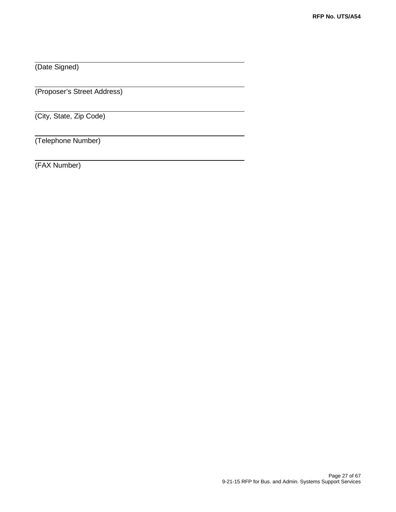(Date Signed)

(Proposer's Street Address)

(City, State, Zip Code)

(Telephone Number)

(FAX Number)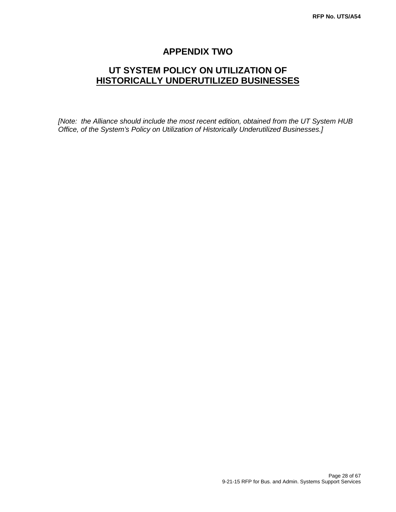## **APPENDIX TWO**

## **UT SYSTEM POLICY ON UTILIZATION OF HISTORICALLY UNDERUTILIZED BUSINESSES**

*[Note: the Alliance should include the most recent edition, obtained from the UT System HUB Office, of the System's Policy on Utilization of Historically Underutilized Businesses.]*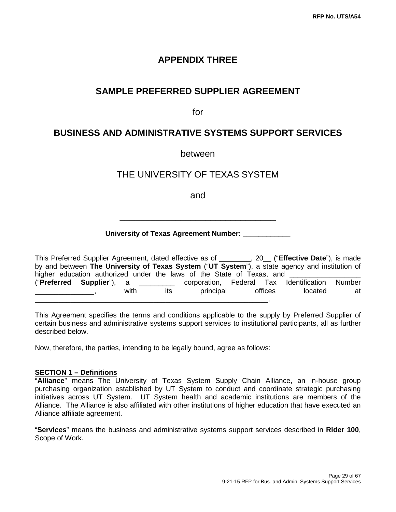## **APPENDIX THREE**

## **SAMPLE PREFERRED SUPPLIER AGREEMENT**

for

## **BUSINESS AND ADMINISTRATIVE SYSTEMS SUPPORT SERVICES**

between

## THE UNIVERSITY OF TEXAS SYSTEM

and

\_\_\_\_\_\_\_\_\_\_\_\_\_\_\_\_\_\_\_\_\_\_\_\_\_\_\_\_\_\_\_

### **University of Texas Agreement Number: \_\_\_\_\_\_\_\_\_\_\_\_**

This Preferred Supplier Agreement, dated effective as of \_\_\_\_\_\_\_\_, 20\_\_ ("**Effective Date**"), is made by and between **The University of Texas System** ("**UT System**"), a state agency and institution of higher education authorized under the laws of the State of Texas, and ("**Preferred Supplier**"), a \_\_\_\_\_\_\_\_\_ corporation, Federal Tax Identification Number \_\_\_\_\_\_\_\_\_\_\_\_\_\_\_\_, with its principal offices located at \_\_\_\_\_\_\_\_\_\_\_\_\_\_\_\_\_\_\_\_\_\_\_\_\_\_\_\_\_\_\_\_\_\_\_\_\_\_\_\_\_\_\_\_\_\_\_\_\_\_\_\_\_\_\_\_\_\_\_.

This Agreement specifies the terms and conditions applicable to the supply by Preferred Supplier of certain business and administrative systems support services to institutional participants, all as further described below.

Now, therefore, the parties, intending to be legally bound, agree as follows:

### **SECTION 1 – Definitions**

"**Alliance**" means The University of Texas System Supply Chain Alliance, an in-house group purchasing organization established by UT System to conduct and coordinate strategic purchasing initiatives across UT System. UT System health and academic institutions are members of the Alliance. The Alliance is also affiliated with other institutions of higher education that have executed an Alliance affiliate agreement.

"**Services**" means the business and administrative systems support services described in **Rider 100**, Scope of Work.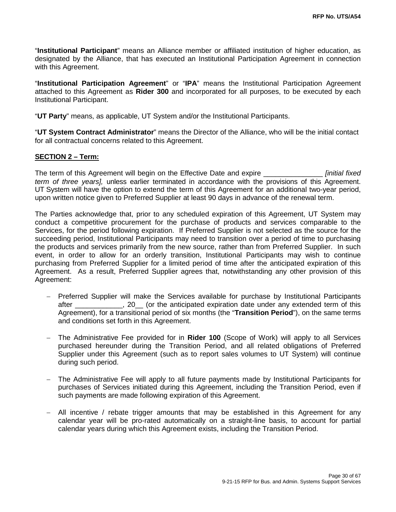"**Institutional Participant**" means an Alliance member or affiliated institution of higher education, as designated by the Alliance, that has executed an Institutional Participation Agreement in connection with this Agreement.

"**Institutional Participation Agreement**" or "**IPA**" means the Institutional Participation Agreement attached to this Agreement as **Rider 300** and incorporated for all purposes, to be executed by each Institutional Participant.

"**UT Party**" means, as applicable, UT System and/or the Institutional Participants.

"**UT System Contract Administrator**" means the Director of the Alliance, who will be the initial contact for all contractual concerns related to this Agreement.

### **SECTION 2 – Term:**

The term of this Agreement will begin on the Effective Date and expire \_\_\_\_\_\_\_\_\_\_\_\_\_\_\_ *[initial fixed term of three years],* unless earlier terminated in accordance with the provisions of this Agreement. UT System will have the option to extend the term of this Agreement for an additional two-year period, upon written notice given to Preferred Supplier at least 90 days in advance of the renewal term.

The Parties acknowledge that, prior to any scheduled expiration of this Agreement, UT System may conduct a competitive procurement for the purchase of products and services comparable to the Services, for the period following expiration. If Preferred Supplier is not selected as the source for the succeeding period, Institutional Participants may need to transition over a period of time to purchasing the products and services primarily from the new source, rather than from Preferred Supplier. In such event, in order to allow for an orderly transition, Institutional Participants may wish to continue purchasing from Preferred Supplier for a limited period of time after the anticipated expiration of this Agreement. As a result, Preferred Supplier agrees that, notwithstanding any other provision of this Agreement:

- − Preferred Supplier will make the Services available for purchase by Institutional Participants after \_\_\_\_\_\_\_\_\_\_\_\_, 20\_\_ (or the anticipated expiration date under any extended term of this Agreement), for a transitional period of six months (the "**Transition Period**"), on the same terms and conditions set forth in this Agreement.
- − The Administrative Fee provided for in **Rider 100** (Scope of Work) will apply to all Services purchased hereunder during the Transition Period, and all related obligations of Preferred Supplier under this Agreement (such as to report sales volumes to UT System) will continue during such period.
- − The Administrative Fee will apply to all future payments made by Institutional Participants for purchases of Services initiated during this Agreement, including the Transition Period, even if such payments are made following expiration of this Agreement.
- − All incentive / rebate trigger amounts that may be established in this Agreement for any calendar year will be pro-rated automatically on a straight-line basis, to account for partial calendar years during which this Agreement exists, including the Transition Period.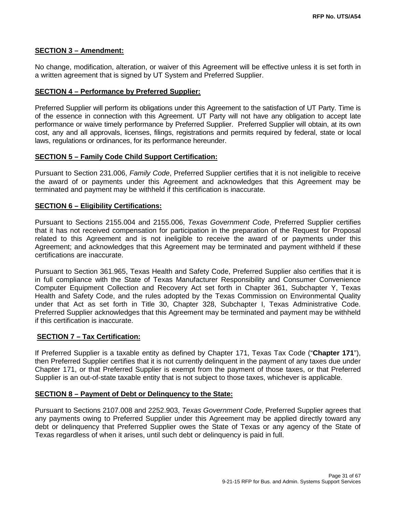### **SECTION 3 – Amendment:**

No change, modification, alteration, or waiver of this Agreement will be effective unless it is set forth in a written agreement that is signed by UT System and Preferred Supplier.

#### **SECTION 4 – Performance by Preferred Supplier:**

Preferred Supplier will perform its obligations under this Agreement to the satisfaction of UT Party. Time is of the essence in connection with this Agreement. UT Party will not have any obligation to accept late performance or waive timely performance by Preferred Supplier. Preferred Supplier will obtain, at its own cost, any and all approvals, licenses, filings, registrations and permits required by federal, state or local laws, regulations or ordinances, for its performance hereunder.

### **SECTION 5 – Family Code Child Support Certification:**

Pursuant to Section 231.006, *Family Code*, Preferred Supplier certifies that it is not ineligible to receive the award of or payments under this Agreement and acknowledges that this Agreement may be terminated and payment may be withheld if this certification is inaccurate.

#### **SECTION 6 – Eligibility Certifications:**

Pursuant to Sections 2155.004 and 2155.006, *Texas Government Code*, Preferred Supplier certifies that it has not received compensation for participation in the preparation of the Request for Proposal related to this Agreement and is not ineligible to receive the award of or payments under this Agreement; and acknowledges that this Agreement may be terminated and payment withheld if these certifications are inaccurate.

Pursuant to Section 361.965, Texas Health and Safety Code, Preferred Supplier also certifies that it is in full compliance with the State of Texas Manufacturer Responsibility and Consumer Convenience Computer Equipment Collection and Recovery Act set forth in Chapter 361, Subchapter Y, Texas Health and Safety Code, and the rules adopted by the Texas Commission on Environmental Quality under that Act as set forth in Title 30, Chapter 328, Subchapter I, Texas Administrative Code. Preferred Supplier acknowledges that this Agreement may be terminated and payment may be withheld if this certification is inaccurate.

#### **SECTION 7 – Tax Certification:**

If Preferred Supplier is a taxable entity as defined by Chapter 171, Texas Tax Code ("**Chapter 171**"), then Preferred Supplier certifies that it is not currently delinquent in the payment of any taxes due under Chapter 171, or that Preferred Supplier is exempt from the payment of those taxes, or that Preferred Supplier is an out-of-state taxable entity that is not subject to those taxes, whichever is applicable.

#### **SECTION 8 – Payment of Debt or Delinquency to the State:**

Pursuant to Sections 2107.008 and 2252.903, *Texas Government Code*, Preferred Supplier agrees that any payments owing to Preferred Supplier under this Agreement may be applied directly toward any debt or delinquency that Preferred Supplier owes the State of Texas or any agency of the State of Texas regardless of when it arises, until such debt or delinquency is paid in full.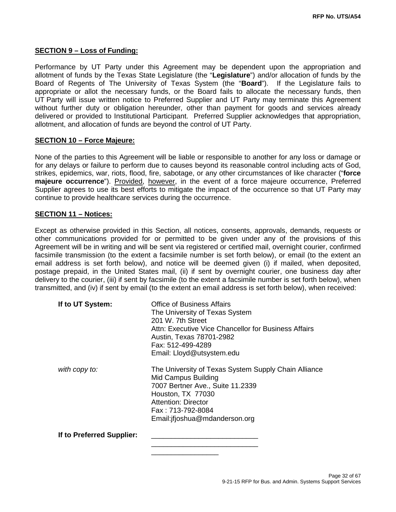### **SECTION 9 – Loss of Funding:**

Performance by UT Party under this Agreement may be dependent upon the appropriation and allotment of funds by the Texas State Legislature (the "**Legislature**") and/or allocation of funds by the Board of Regents of The University of Texas System (the "**Board**"). If the Legislature fails to appropriate or allot the necessary funds, or the Board fails to allocate the necessary funds, then UT Party will issue written notice to Preferred Supplier and UT Party may terminate this Agreement without further duty or obligation hereunder, other than payment for goods and services already delivered or provided to Institutional Participant. Preferred Supplier acknowledges that appropriation, allotment, and allocation of funds are beyond the control of UT Party.

#### **SECTION 10 – Force Majeure:**

None of the parties to this Agreement will be liable or responsible to another for any loss or damage or for any delays or failure to perform due to causes beyond its reasonable control including acts of God, strikes, epidemics, war, riots, flood, fire, sabotage, or any other circumstances of like character ("**force majeure occurrence**"). Provided, however, in the event of a force majeure occurrence, Preferred Supplier agrees to use its best efforts to mitigate the impact of the occurrence so that UT Party may continue to provide healthcare services during the occurrence.

#### **SECTION 11 – Notices:**

Except as otherwise provided in this Section, all notices, consents, approvals, demands, requests or other communications provided for or permitted to be given under any of the provisions of this Agreement will be in writing and will be sent via registered or certified mail, overnight courier, confirmed facsimile transmission (to the extent a facsimile number is set forth below), or email (to the extent an email address is set forth below), and notice will be deemed given (i) if mailed, when deposited, postage prepaid, in the United States mail, (ii) if sent by overnight courier, one business day after delivery to the courier, (iii) if sent by facsimile (to the extent a facsimile number is set forth below), when transmitted, and (iv) if sent by email (to the extent an email address is set forth below), when received:

| If to UT System:          | Office of Business Affairs<br>The University of Texas System<br>201 W. 7th Street<br>Attn: Executive Vice Chancellor for Business Affairs<br>Austin, Texas 78701-2982<br>Fax: 512-499-4289<br>Email: Lloyd@utsystem.edu    |
|---------------------------|----------------------------------------------------------------------------------------------------------------------------------------------------------------------------------------------------------------------------|
| with copy to:             | The University of Texas System Supply Chain Alliance<br><b>Mid Campus Building</b><br>7007 Bertner Ave., Suite 11.2339<br>Houston, TX 77030<br>Attention: Director<br>Fax: 713-792-8084<br>Email: if joshua@mdanderson.org |
| If to Preferred Supplier: |                                                                                                                                                                                                                            |

\_\_\_\_\_\_\_\_\_\_\_\_\_\_\_\_\_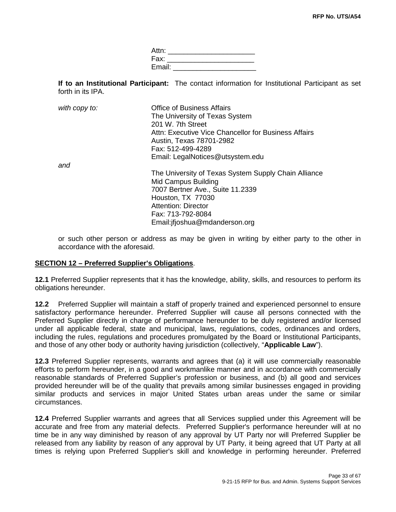| Attn:  |  |
|--------|--|
| Fax:   |  |
| Email: |  |

**If to an Institutional Participant:** The contact information for Institutional Participant as set forth in its IPA.

| with copy to: | <b>Office of Business Affairs</b><br>The University of Texas System |
|---------------|---------------------------------------------------------------------|
|               | 201 W. 7th Street                                                   |
|               | Attn: Executive Vice Chancellor for Business Affairs                |
|               | Austin, Texas 78701-2982                                            |
|               | Fax: 512-499-4289                                                   |
|               | Email: LegalNotices@utsystem.edu                                    |
| and           |                                                                     |
|               | The University of Texas System Supply Chain Alliance                |
|               | Mid Campus Building                                                 |
|               | 7007 Bertner Ave., Suite 11.2339                                    |
|               | Houston, TX 77030                                                   |
|               | <b>Attention: Director</b>                                          |
|               | Fax: 713-792-8084                                                   |
|               | Email: if joshua@mdanderson.org                                     |

or such other person or address as may be given in writing by either party to the other in accordance with the aforesaid.

### **SECTION 12 – Preferred Supplier's Obligations**.

**12.1** Preferred Supplier represents that it has the knowledge, ability, skills, and resources to perform its obligations hereunder.

**12.2** Preferred Supplier will maintain a staff of properly trained and experienced personnel to ensure satisfactory performance hereunder. Preferred Supplier will cause all persons connected with the Preferred Supplier directly in charge of performance hereunder to be duly registered and/or licensed under all applicable federal, state and municipal, laws, regulations, codes, ordinances and orders, including the rules, regulations and procedures promulgated by the Board or Institutional Participants, and those of any other body or authority having jurisdiction (collectively, "**Applicable Law**").

**12.3** Preferred Supplier represents, warrants and agrees that (a) it will use commercially reasonable efforts to perform hereunder, in a good and workmanlike manner and in accordance with commercially reasonable standards of Preferred Supplier's profession or business, and (b) all good and services provided hereunder will be of the quality that prevails among similar businesses engaged in providing similar products and services in major United States urban areas under the same or similar circumstances.

**12.4** Preferred Supplier warrants and agrees that all Services supplied under this Agreement will be accurate and free from any material defects. Preferred Supplier's performance hereunder will at no time be in any way diminished by reason of any approval by UT Party nor will Preferred Supplier be released from any liability by reason of any approval by UT Party, it being agreed that UT Party at all times is relying upon Preferred Supplier's skill and knowledge in performing hereunder. Preferred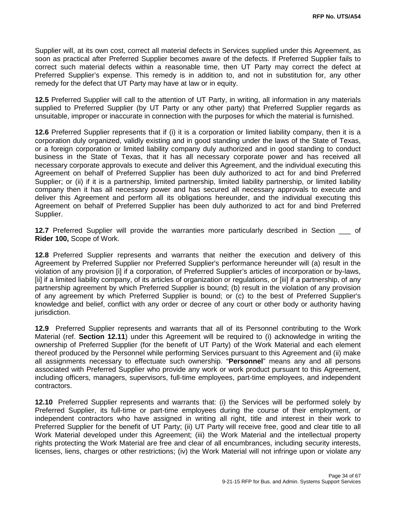Supplier will, at its own cost, correct all material defects in Services supplied under this Agreement, as soon as practical after Preferred Supplier becomes aware of the defects. If Preferred Supplier fails to correct such material defects within a reasonable time, then UT Party may correct the defect at Preferred Supplier's expense. This remedy is in addition to, and not in substitution for, any other remedy for the defect that UT Party may have at law or in equity.

**12.5** Preferred Supplier will call to the attention of UT Party, in writing, all information in any materials supplied to Preferred Supplier (by UT Party or any other party) that Preferred Supplier regards as unsuitable, improper or inaccurate in connection with the purposes for which the material is furnished.

**12.6** Preferred Supplier represents that if (i) it is a corporation or limited liability company, then it is a corporation duly organized, validly existing and in good standing under the laws of the State of Texas, or a foreign corporation or limited liability company duly authorized and in good standing to conduct business in the State of Texas, that it has all necessary corporate power and has received all necessary corporate approvals to execute and deliver this Agreement, and the individual executing this Agreement on behalf of Preferred Supplier has been duly authorized to act for and bind Preferred Supplier; or (ii) if it is a partnership, limited partnership, limited liability partnership, or limited liability company then it has all necessary power and has secured all necessary approvals to execute and deliver this Agreement and perform all its obligations hereunder, and the individual executing this Agreement on behalf of Preferred Supplier has been duly authorized to act for and bind Preferred Supplier.

**12.7** Preferred Supplier will provide the warranties more particularly described in Section of **Rider 100,** Scope of Work.

**12.8** Preferred Supplier represents and warrants that neither the execution and delivery of this Agreement by Preferred Supplier nor Preferred Supplier's performance hereunder will (a) result in the violation of any provision [i] if a corporation, of Preferred Supplier's articles of incorporation or by-laws, [ii] if a limited liability company, of its articles of organization or regulations, or [iii] if a partnership, of any partnership agreement by which Preferred Supplier is bound; (b) result in the violation of any provision of any agreement by which Preferred Supplier is bound; or (c) to the best of Preferred Supplier's knowledge and belief, conflict with any order or decree of any court or other body or authority having jurisdiction.

**12.9** Preferred Supplier represents and warrants that all of its Personnel contributing to the Work Material (ref. **Section 12.11**) under this Agreement will be required to (i) acknowledge in writing the ownership of Preferred Supplier (for the benefit of UT Party) of the Work Material and each element thereof produced by the Personnel while performing Services pursuant to this Agreement and (ii) make all assignments necessary to effectuate such ownership. "**Personnel**" means any and all persons associated with Preferred Supplier who provide any work or work product pursuant to this Agreement, including officers, managers, supervisors, full-time employees, part-time employees, and independent contractors.

**12.10** Preferred Supplier represents and warrants that: (i) the Services will be performed solely by Preferred Supplier, its full-time or part-time employees during the course of their employment, or independent contractors who have assigned in writing all right, title and interest in their work to Preferred Supplier for the benefit of UT Party; (ii) UT Party will receive free, good and clear title to all Work Material developed under this Agreement; (iii) the Work Material and the intellectual property rights protecting the Work Material are free and clear of all encumbrances, including security interests, licenses, liens, charges or other restrictions; (iv) the Work Material will not infringe upon or violate any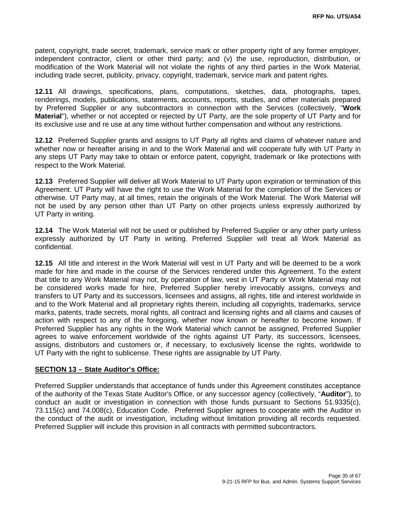patent, copyright, trade secret, trademark, service mark or other property right of any former employer, independent contractor, client or other third party; and (v) the use, reproduction, distribution, or modification of the Work Material will not violate the rights of any third parties in the Work Material, including trade secret, publicity, privacy, copyright, trademark, service mark and patent rights.

**12.11** All drawings, specifications, plans, computations, sketches, data, photographs, tapes, renderings, models, publications, statements, accounts, reports, studies, and other materials prepared by Preferred Supplier or any subcontractors in connection with the Services (collectively, "**Work Material**"), whether or not accepted or rejected by UT Party, are the sole property of UT Party and for its exclusive use and re use at any time without further compensation and without any restrictions.

**12.12** Preferred Supplier grants and assigns to UT Party all rights and claims of whatever nature and whether now or hereafter arising in and to the Work Material and will cooperate fully with UT Party in any steps UT Party may take to obtain or enforce patent, copyright, trademark or like protections with respect to the Work Material.

**12.13** Preferred Supplier will deliver all Work Material to UT Party upon expiration or termination of this Agreement. UT Party will have the right to use the Work Material for the completion of the Services or otherwise. UT Party may, at all times, retain the originals of the Work Material. The Work Material will not be used by any person other than UT Party on other projects unless expressly authorized by UT Party in writing.

**12.14** The Work Material will not be used or published by Preferred Supplier or any other party unless expressly authorized by UT Party in writing. Preferred Supplier will treat all Work Material as confidential.

**12.15** All title and interest in the Work Material will vest in UT Party and will be deemed to be a work made for hire and made in the course of the Services rendered under this Agreement. To the extent that title to any Work Material may not, by operation of law, vest in UT Party or Work Material may not be considered works made for hire, Preferred Supplier hereby irrevocably assigns, conveys and transfers to UT Party and its successors, licensees and assigns, all rights, title and interest worldwide in and to the Work Material and all proprietary rights therein, including all copyrights, trademarks, service marks, patents, trade secrets, moral rights, all contract and licensing rights and all claims and causes of action with respect to any of the foregoing, whether now known or hereafter to become known. If Preferred Supplier has any rights in the Work Material which cannot be assigned, Preferred Supplier agrees to waive enforcement worldwide of the rights against UT Party, its successors, licensees, assigns, distributors and customers or, if necessary, to exclusively license the rights, worldwide to UT Party with the right to sublicense. These rights are assignable by UT Party.

### **SECTION 13 – State Auditor's Office:**

Preferred Supplier understands that acceptance of funds under this Agreement constitutes acceptance of the authority of the Texas State Auditor's Office, or any successor agency (collectively, "**Auditor**"), to conduct an audit or investigation in connection with those funds pursuant to Sections 51.9335(c), 73.115(c) and 74.008(c), Education Code. Preferred Supplier agrees to cooperate with the Auditor in the conduct of the audit or investigation, including without limitation providing all records requested. Preferred Supplier will include this provision in all contracts with permitted subcontractors.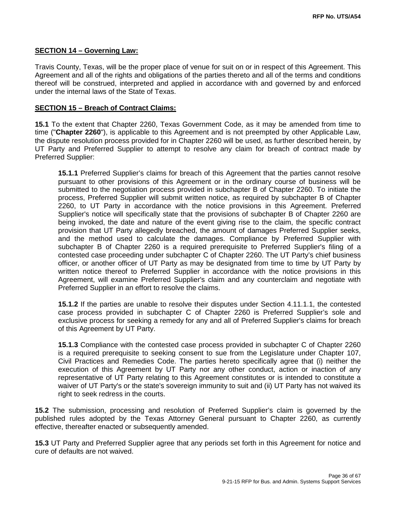#### **SECTION 14 – Governing Law:**

Travis County, Texas, will be the proper place of venue for suit on or in respect of this Agreement. This Agreement and all of the rights and obligations of the parties thereto and all of the terms and conditions thereof will be construed, interpreted and applied in accordance with and governed by and enforced under the internal laws of the State of Texas.

#### **SECTION 15 – Breach of Contract Claims:**

**15.1** To the extent that Chapter 2260, Texas Government Code, as it may be amended from time to time ("**Chapter 2260**"), is applicable to this Agreement and is not preempted by other Applicable Law, the dispute resolution process provided for in Chapter 2260 will be used, as further described herein, by UT Party and Preferred Supplier to attempt to resolve any claim for breach of contract made by Preferred Supplier:

**15.1.1** Preferred Supplier's claims for breach of this Agreement that the parties cannot resolve pursuant to other provisions of this Agreement or in the ordinary course of business will be submitted to the negotiation process provided in subchapter B of Chapter 2260. To initiate the process, Preferred Supplier will submit written notice, as required by subchapter B of Chapter 2260, to UT Party in accordance with the notice provisions in this Agreement. Preferred Supplier's notice will specifically state that the provisions of subchapter B of Chapter 2260 are being invoked, the date and nature of the event giving rise to the claim, the specific contract provision that UT Party allegedly breached, the amount of damages Preferred Supplier seeks, and the method used to calculate the damages. Compliance by Preferred Supplier with subchapter B of Chapter 2260 is a required prerequisite to Preferred Supplier's filing of a contested case proceeding under subchapter C of Chapter 2260. The UT Party's chief business officer, or another officer of UT Party as may be designated from time to time by UT Party by written notice thereof to Preferred Supplier in accordance with the notice provisions in this Agreement, will examine Preferred Supplier's claim and any counterclaim and negotiate with Preferred Supplier in an effort to resolve the claims.

**15.1.2** If the parties are unable to resolve their disputes under Section 4.11.1.1, the contested case process provided in subchapter C of Chapter 2260 is Preferred Supplier's sole and exclusive process for seeking a remedy for any and all of Preferred Supplier's claims for breach of this Agreement by UT Party.

**15.1.3** Compliance with the contested case process provided in subchapter C of Chapter 2260 is a required prerequisite to seeking consent to sue from the Legislature under Chapter 107, Civil Practices and Remedies Code. The parties hereto specifically agree that (i) neither the execution of this Agreement by UT Party nor any other conduct, action or inaction of any representative of UT Party relating to this Agreement constitutes or is intended to constitute a waiver of UT Party's or the state's sovereign immunity to suit and (ii) UT Party has not waived its right to seek redress in the courts.

**15.2** The submission, processing and resolution of Preferred Supplier's claim is governed by the published rules adopted by the Texas Attorney General pursuant to Chapter 2260, as currently effective, thereafter enacted or subsequently amended.

**15.3** UT Party and Preferred Supplier agree that any periods set forth in this Agreement for notice and cure of defaults are not waived.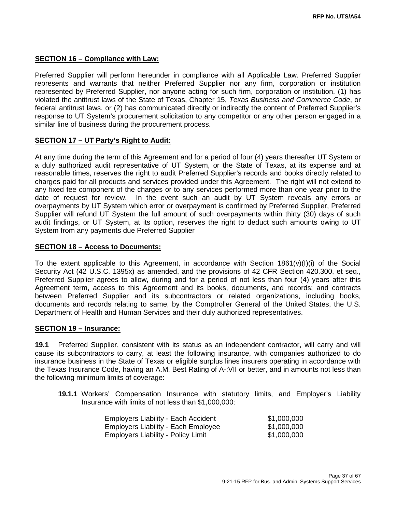### **SECTION 16 – Compliance with Law:**

Preferred Supplier will perform hereunder in compliance with all Applicable Law. Preferred Supplier represents and warrants that neither Preferred Supplier nor any firm, corporation or institution represented by Preferred Supplier, nor anyone acting for such firm, corporation or institution, (1) has violated the antitrust laws of the State of Texas, Chapter 15, *Texas Business and Commerce Code*, or federal antitrust laws, or (2) has communicated directly or indirectly the content of Preferred Supplier's response to UT System's procurement solicitation to any competitor or any other person engaged in a similar line of business during the procurement process.

### **SECTION 17 – UT Party's Right to Audit:**

At any time during the term of this Agreement and for a period of four (4) years thereafter UT System or a duly authorized audit representative of UT System, or the State of Texas, at its expense and at reasonable times, reserves the right to audit Preferred Supplier's records and books directly related to charges paid for all products and services provided under this Agreement. The right will not extend to any fixed fee component of the charges or to any services performed more than one year prior to the date of request for review. In the event such an audit by UT System reveals any errors or overpayments by UT System which error or overpayment is confirmed by Preferred Supplier, Preferred Supplier will refund UT System the full amount of such overpayments within thirty (30) days of such audit findings, or UT System, at its option, reserves the right to deduct such amounts owing to UT System from any payments due Preferred Supplier

### **SECTION 18 – Access to Documents:**

To the extent applicable to this Agreement, in accordance with Section 1861(v)(I)(i) of the Social Security Act (42 U.S.C. 1395x) as amended, and the provisions of 42 CFR Section 420.300, et seq., Preferred Supplier agrees to allow, during and for a period of not less than four (4) years after this Agreement term, access to this Agreement and its books, documents, and records; and contracts between Preferred Supplier and its subcontractors or related organizations, including books, documents and records relating to same, by the Comptroller General of the United States, the U.S. Department of Health and Human Services and their duly authorized representatives.

### **SECTION 19 – Insurance:**

**19.1** Preferred Supplier, consistent with its status as an independent contractor, will carry and will cause its subcontractors to carry, at least the following insurance, with companies authorized to do insurance business in the State of Texas or eligible surplus lines insurers operating in accordance with the Texas Insurance Code, having an A.M. Best Rating of A-:VII or better, and in amounts not less than the following minimum limits of coverage:

**19.1.1** Workers' Compensation Insurance with statutory limits, and Employer's Liability Insurance with limits of not less than \$1,000,000:

| Employers Liability - Each Accident        | \$1,000,000 |
|--------------------------------------------|-------------|
| <b>Employers Liability - Each Employee</b> | \$1,000,000 |
| Employers Liability - Policy Limit         | \$1,000,000 |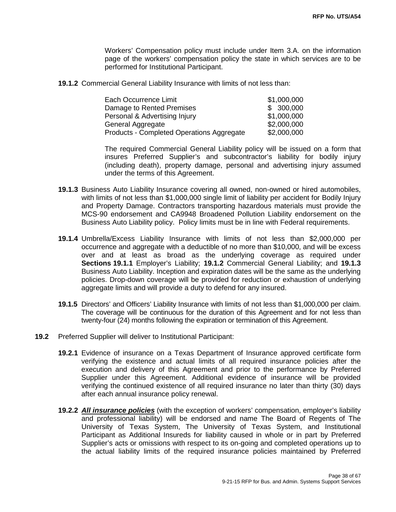Workers' Compensation policy must include under Item 3.A. on the information page of the workers' compensation policy the state in which services are to be performed for Institutional Participant.

**19.1.2** Commercial General Liability Insurance with limits of not less than:

| Each Occurrence Limit                     | \$1,000,000 |
|-------------------------------------------|-------------|
| Damage to Rented Premises                 | \$300,000   |
| Personal & Advertising Injury             | \$1,000,000 |
| General Aggregate                         | \$2,000,000 |
| Products - Completed Operations Aggregate | \$2,000,000 |

The required Commercial General Liability policy will be issued on a form that insures Preferred Supplier's and subcontractor's liability for bodily injury (including death), property damage, personal and advertising injury assumed under the terms of this Agreement.

- **19.1.3** Business Auto Liability Insurance covering all owned, non-owned or hired automobiles, with limits of not less than \$1,000,000 single limit of liability per accident for Bodily Injury and Property Damage. Contractors transporting hazardous materials must provide the MCS-90 endorsement and CA9948 Broadened Pollution Liability endorsement on the Business Auto Liability policy. Policy limits must be in line with Federal requirements.
- **19.1.4** Umbrella/Excess Liability Insurance with limits of not less than \$2,000,000 per occurrence and aggregate with a deductible of no more than \$10,000, and will be excess over and at least as broad as the underlying coverage as required under **Sections 19.1.1** Employer's Liability; **19.1.2** Commercial General Liability; and **19.1.3** Business Auto Liability. Inception and expiration dates will be the same as the underlying policies. Drop-down coverage will be provided for reduction or exhaustion of underlying aggregate limits and will provide a duty to defend for any insured.
- **19.1.5** Directors' and Officers' Liability Insurance with limits of not less than \$1,000,000 per claim. The coverage will be continuous for the duration of this Agreement and for not less than twenty-four (24) months following the expiration or termination of this Agreement.
- **19.2** Preferred Supplier will deliver to Institutional Participant:
	- **19.2.1** Evidence of insurance on a Texas Department of Insurance approved certificate form verifying the existence and actual limits of all required insurance policies after the execution and delivery of this Agreement and prior to the performance by Preferred Supplier under this Agreement. Additional evidence of insurance will be provided verifying the continued existence of all required insurance no later than thirty (30) days after each annual insurance policy renewal.
	- **19.2.2** *All insurance policies* (with the exception of workers' compensation, employer's liability and professional liability) will be endorsed and name The Board of Regents of The University of Texas System, The University of Texas System, and Institutional Participant as Additional Insureds for liability caused in whole or in part by Preferred Supplier's acts or omissions with respect to its on-going and completed operations up to the actual liability limits of the required insurance policies maintained by Preferred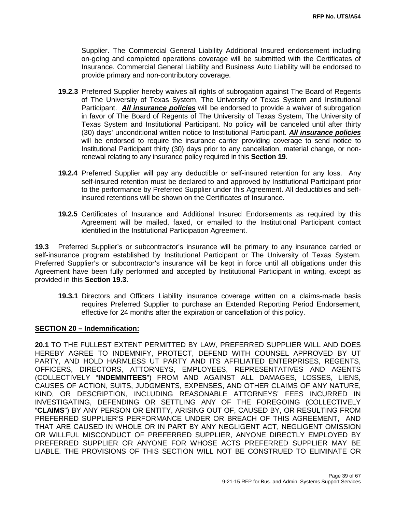Supplier. The Commercial General Liability Additional Insured endorsement including on-going and completed operations coverage will be submitted with the Certificates of Insurance. Commercial General Liability and Business Auto Liability will be endorsed to provide primary and non-contributory coverage.

- **19.2.3** Preferred Supplier hereby waives all rights of subrogation against The Board of Regents of The University of Texas System, The University of Texas System and Institutional Participant. *All insurance policies* will be endorsed to provide a waiver of subrogation in favor of The Board of Regents of The University of Texas System, The University of Texas System and Institutional Participant. No policy will be canceled until after thirty (30) days' unconditional written notice to Institutional Participant. *All insurance policies* will be endorsed to require the insurance carrier providing coverage to send notice to Institutional Participant thirty (30) days prior to any cancellation, material change, or nonrenewal relating to any insurance policy required in this **Section 19**.
- **19.2.4** Preferred Supplier will pay any deductible or self-insured retention for any loss. Any self-insured retention must be declared to and approved by Institutional Participant prior to the performance by Preferred Supplier under this Agreement. All deductibles and selfinsured retentions will be shown on the Certificates of Insurance.
- **19.2.5** Certificates of Insurance and Additional Insured Endorsements as required by this Agreement will be mailed, faxed, or emailed to the Institutional Participant contact identified in the Institutional Participation Agreement.

**19.3** Preferred Supplier's or subcontractor's insurance will be primary to any insurance carried or self-insurance program established by Institutional Participant or The University of Texas System. Preferred Supplier's or subcontractor's insurance will be kept in force until all obligations under this Agreement have been fully performed and accepted by Institutional Participant in writing, except as provided in this **Section 19.3**.

**19.3.1** Directors and Officers Liability insurance coverage written on a claims-made basis requires Preferred Supplier to purchase an Extended Reporting Period Endorsement, effective for 24 months after the expiration or cancellation of this policy.

### **SECTION 20 – Indemnification:**

**20.1** TO THE FULLEST EXTENT PERMITTED BY LAW, PREFERRED SUPPLIER WILL AND DOES HEREBY AGREE TO INDEMNIFY, PROTECT, DEFEND WITH COUNSEL APPROVED BY UT PARTY, AND HOLD HARMLESS UT PARTY AND ITS AFFILIATED ENTERPRISES, REGENTS, OFFICERS, DIRECTORS, ATTORNEYS, EMPLOYEES, REPRESENTATIVES AND AGENTS (COLLECTIVELY "**INDEMNITEES**") FROM AND AGAINST ALL DAMAGES, LOSSES, LIENS, CAUSES OF ACTION, SUITS, JUDGMENTS, EXPENSES, AND OTHER CLAIMS OF ANY NATURE, KIND, OR DESCRIPTION, INCLUDING REASONABLE ATTORNEYS' FEES INCURRED IN INVESTIGATING, DEFENDING OR SETTLING ANY OF THE FOREGOING (COLLECTIVELY "**CLAIMS**") BY ANY PERSON OR ENTITY, ARISING OUT OF, CAUSED BY, OR RESULTING FROM PREFERRED SUPPLIER'S PERFORMANCE UNDER OR BREACH OF THIS AGREEMENT, AND THAT ARE CAUSED IN WHOLE OR IN PART BY ANY NEGLIGENT ACT, NEGLIGENT OMISSION OR WILLFUL MISCONDUCT OF PREFERRED SUPPLIER, ANYONE DIRECTLY EMPLOYED BY PREFERRED SUPPLIER OR ANYONE FOR WHOSE ACTS PREFERRED SUPPLIER MAY BE LIABLE. THE PROVISIONS OF THIS SECTION WILL NOT BE CONSTRUED TO ELIMINATE OR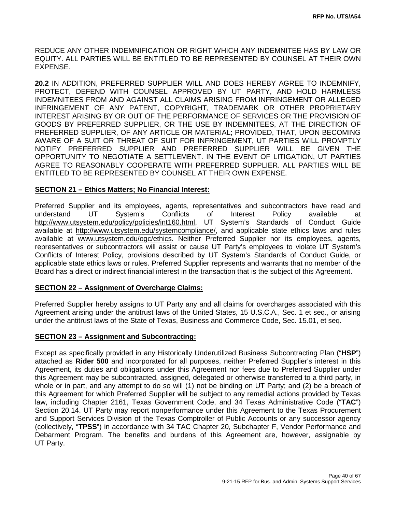REDUCE ANY OTHER INDEMNIFICATION OR RIGHT WHICH ANY INDEMNITEE HAS BY LAW OR EQUITY. ALL PARTIES WILL BE ENTITLED TO BE REPRESENTED BY COUNSEL AT THEIR OWN EXPENSE.

**20.2** IN ADDITION, PREFERRED SUPPLIER WILL AND DOES HEREBY AGREE TO INDEMNIFY, PROTECT, DEFEND WITH COUNSEL APPROVED BY UT PARTY, AND HOLD HARMLESS INDEMNITEES FROM AND AGAINST ALL CLAIMS ARISING FROM INFRINGEMENT OR ALLEGED INFRINGEMENT OF ANY PATENT, COPYRIGHT, TRADEMARK OR OTHER PROPRIETARY INTEREST ARISING BY OR OUT OF THE PERFORMANCE OF SERVICES OR THE PROVISION OF GOODS BY PREFERRED SUPPLIER, OR THE USE BY INDEMNITEES, AT THE DIRECTION OF PREFERRED SUPPLIER, OF ANY ARTICLE OR MATERIAL; PROVIDED, THAT, UPON BECOMING AWARE OF A SUIT OR THREAT OF SUIT FOR INFRINGEMENT, UT PARTIES WILL PROMPTLY NOTIFY PREFERRED SUPPLIER AND PREFERRED SUPPLIER WILL BE GIVEN THE OPPORTUNITY TO NEGOTIATE A SETTLEMENT. IN THE EVENT OF LITIGATION, UT PARTIES AGREE TO REASONABLY COOPERATE WITH PREFERRED SUPPLIER. ALL PARTIES WILL BE ENTITLED TO BE REPRESENTED BY COUNSEL AT THEIR OWN EXPENSE.

### **SECTION 21 – Ethics Matters; No Financial Interest:**

Preferred Supplier and its employees, agents, representatives and subcontractors have read and understand UT System's Conflicts of Interest Policy available at [http://www.utsystem.edu/policy/policies/int160.html,](http://www.utsystem.edu/policy/policies/int160.html) UT System's Standards of Conduct Guide available at [http://www.utsystem.edu/systemcompliance/,](http://www.utsystem.edu/systemcompliance/) and applicable state ethics laws and rules available at [www.utsystem.edu/ogc/ethics.](http://www.utsystem.edu/ogc/ethics) Neither Preferred Supplier nor its employees, agents, representatives or subcontractors will assist or cause UT Party's employees to violate UT System's Conflicts of Interest Policy, provisions described by UT System's Standards of Conduct Guide, or applicable state ethics laws or rules. Preferred Supplier represents and warrants that no member of the Board has a direct or indirect financial interest in the transaction that is the subject of this Agreement.

### **SECTION 22 – Assignment of Overcharge Claims:**

Preferred Supplier hereby assigns to UT Party any and all claims for overcharges associated with this Agreement arising under the antitrust laws of the United States, 15 U.S.C.A., Sec. 1 et seq., or arising under the antitrust laws of the State of Texas, Business and Commerce Code, Sec. 15.01, et seq.

#### **SECTION 23 – Assignment and Subcontracting:**

Except as specifically provided in any Historically Underutilized Business Subcontracting Plan ("**HSP**") attached as **Rider 500** and incorporated for all purposes, neither Preferred Supplier's interest in this Agreement, its duties and obligations under this Agreement nor fees due to Preferred Supplier under this Agreement may be subcontracted, assigned, delegated or otherwise transferred to a third party, in whole or in part, and any attempt to do so will (1) not be binding on UT Party; and (2) be a breach of this Agreement for which Preferred Supplier will be subject to any remedial actions provided by Texas law, including Chapter 2161, Texas Government Code, and 34 Texas Administrative Code ("**TAC**") Section 20.14. UT Party may report nonperformance under this Agreement to the Texas Procurement and Support Services Division of the Texas Comptroller of Public Accounts or any successor agency (collectively, "**TPSS**") in accordance with 34 TAC Chapter 20, Subchapter F, Vendor Performance and Debarment Program. The benefits and burdens of this Agreement are, however, assignable by UT Party.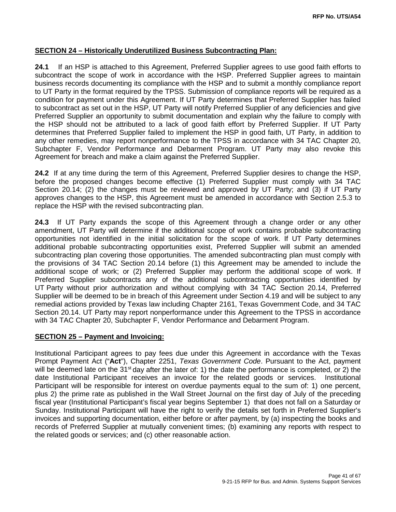### **SECTION 24 – Historically Underutilized Business Subcontracting Plan:**

**24.1** If an HSP is attached to this Agreement, Preferred Supplier agrees to use good faith efforts to subcontract the scope of work in accordance with the HSP. Preferred Supplier agrees to maintain business records documenting its compliance with the HSP and to submit a monthly compliance report to UT Party in the format required by the TPSS. Submission of compliance reports will be required as a condition for payment under this Agreement. If UT Party determines that Preferred Supplier has failed to subcontract as set out in the HSP, UT Party will notify Preferred Supplier of any deficiencies and give Preferred Supplier an opportunity to submit documentation and explain why the failure to comply with the HSP should not be attributed to a lack of good faith effort by Preferred Supplier. If UT Party determines that Preferred Supplier failed to implement the HSP in good faith, UT Party, in addition to any other remedies, may report nonperformance to the TPSS in accordance with 34 TAC Chapter 20, Subchapter F, Vendor Performance and Debarment Program. UT Party may also revoke this Agreement for breach and make a claim against the Preferred Supplier.

**24.2** If at any time during the term of this Agreement, Preferred Supplier desires to change the HSP, before the proposed changes become effective (1) Preferred Supplier must comply with 34 TAC Section 20.14; (2) the changes must be reviewed and approved by UT Party; and (3) if UT Party approves changes to the HSP, this Agreement must be amended in accordance with Section 2.5.3 to replace the HSP with the revised subcontracting plan.

**24.3** If UT Party expands the scope of this Agreement through a change order or any other amendment, UT Party will determine if the additional scope of work contains probable subcontracting opportunities not identified in the initial solicitation for the scope of work. If UT Party determines additional probable subcontracting opportunities exist, Preferred Supplier will submit an amended subcontracting plan covering those opportunities. The amended subcontracting plan must comply with the provisions of 34 TAC Section 20.14 before (1) this Agreement may be amended to include the additional scope of work; or (2) Preferred Supplier may perform the additional scope of work. If Preferred Supplier subcontracts any of the additional subcontracting opportunities identified by UT Party without prior authorization and without complying with 34 TAC Section 20.14, Preferred Supplier will be deemed to be in breach of this Agreement under Section 4.19 and will be subject to any remedial actions provided by Texas law including Chapter 2161, Texas Government Code, and 34 TAC Section 20.14. UT Party may report nonperformance under this Agreement to the TPSS in accordance with 34 TAC Chapter 20, Subchapter F, Vendor Performance and Debarment Program.

#### **SECTION 25 – Payment and Invoicing:**

Institutional Participant agrees to pay fees due under this Agreement in accordance with the Texas Prompt Payment Act ("**Act**"), Chapter 2251, *Texas Government Code*. Pursuant to the Act, payment will be deemed late on the 31<sup>st</sup> day after the later of: 1) the date the performance is completed, or 2) the date Institutional Participant receives an invoice for the related goods or services. Institutional Participant will be responsible for interest on overdue payments equal to the sum of: 1) one percent, plus 2) the prime rate as published in the Wall Street Journal on the first day of July of the preceding fiscal year (Institutional Participant's fiscal year begins September 1) that does not fall on a Saturday or Sunday. Institutional Participant will have the right to verify the details set forth in Preferred Supplier's invoices and supporting documentation, either before or after payment, by (a) inspecting the books and records of Preferred Supplier at mutually convenient times; (b) examining any reports with respect to the related goods or services; and (c) other reasonable action.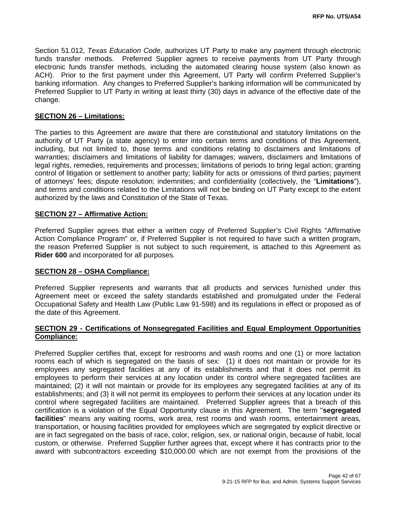Section 51.012, *Texas Education Code*, authorizes UT Party to make any payment through electronic funds transfer methods. Preferred Supplier agrees to receive payments from UT Party through electronic funds transfer methods, including the automated clearing house system (also known as ACH). Prior to the first payment under this Agreement, UT Party will confirm Preferred Supplier's banking information. Any changes to Preferred Supplier's banking information will be communicated by Preferred Supplier to UT Party in writing at least thirty (30) days in advance of the effective date of the change.

#### **SECTION 26 – Limitations:**

The parties to this Agreement are aware that there are constitutional and statutory limitations on the authority of UT Party (a state agency) to enter into certain terms and conditions of this Agreement, including, but not limited to, those terms and conditions relating to disclaimers and limitations of warranties; disclaimers and limitations of liability for damages; waivers, disclaimers and limitations of legal rights, remedies, requirements and processes; limitations of periods to bring legal action; granting control of litigation or settlement to another party; liability for acts or omissions of third parties; payment of attorneys' fees; dispute resolution; indemnities; and confidentiality (collectively, the "**Limitations**"), and terms and conditions related to the Limitations will not be binding on UT Party except to the extent authorized by the laws and Constitution of the State of Texas.

#### **SECTION 27 – Affirmative Action:**

Preferred Supplier agrees that either a written copy of Preferred Supplier's Civil Rights "Affirmative Action Compliance Program" or, if Preferred Supplier is not required to have such a written program, the reason Preferred Supplier is not subject to such requirement, is attached to this Agreement as **Rider 600** and incorporated for all purposes.

#### **SECTION 28 – OSHA Compliance:**

Preferred Supplier represents and warrants that all products and services furnished under this Agreement meet or exceed the safety standards established and promulgated under the Federal Occupational Safety and Health Law (Public Law 91-598) and its regulations in effect or proposed as of the date of this Agreement.

### **SECTION 29 - Certifications of Nonsegregated Facilities and Equal Employment Opportunities Compliance:**

Preferred Supplier certifies that, except for restrooms and wash rooms and one (1) or more lactation rooms each of which is segregated on the basis of sex: (1) it does not maintain or provide for its employees any segregated facilities at any of its establishments and that it does not permit its employees to perform their services at any location under its control where segregated facilities are maintained; (2) it will not maintain or provide for its employees any segregated facilities at any of its establishments; and (3) it will not permit its employees to perform their services at any location under its control where segregated facilities are maintained. Preferred Supplier agrees that a breach of this certification is a violation of the Equal Opportunity clause in this Agreement. The term "**segregated facilities**" means any waiting rooms, work area, rest rooms and wash rooms, entertainment areas, transportation, or housing facilities provided for employees which are segregated by explicit directive or are in fact segregated on the basis of race, color, religion, sex, or national origin, because of habit, local custom, or otherwise. Preferred Supplier further agrees that, except where it has contracts prior to the award with subcontractors exceeding \$10,000.00 which are not exempt from the provisions of the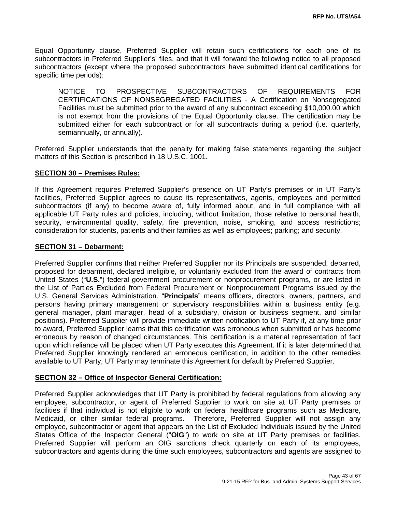Equal Opportunity clause, Preferred Supplier will retain such certifications for each one of its subcontractors in Preferred Supplier's' files, and that it will forward the following notice to all proposed subcontractors (except where the proposed subcontractors have submitted identical certifications for specific time periods):

NOTICE TO PROSPECTIVE SUBCONTRACTORS OF REQUIREMENTS FOR CERTIFICATIONS OF NONSEGREGATED FACILITIES - A Certification on Nonsegregated Facilities must be submitted prior to the award of any subcontract exceeding \$10,000.00 which is not exempt from the provisions of the Equal Opportunity clause. The certification may be submitted either for each subcontract or for all subcontracts during a period (i.e. quarterly, semiannually, or annually).

Preferred Supplier understands that the penalty for making false statements regarding the subject matters of this Section is prescribed in 18 U.S.C. 1001.

#### **SECTION 30 – Premises Rules:**

If this Agreement requires Preferred Supplier's presence on UT Party's premises or in UT Party's facilities, Preferred Supplier agrees to cause its representatives, agents, employees and permitted subcontractors (if any) to become aware of, fully informed about, and in full compliance with all applicable UT Party rules and policies, including, without limitation, those relative to personal health, security, environmental quality, safety, fire prevention, noise, smoking, and access restrictions; consideration for students, patients and their families as well as employees; parking; and security.

#### **SECTION 31 – Debarment:**

Preferred Supplier confirms that neither Preferred Supplier nor its Principals are suspended, debarred, proposed for debarment, declared ineligible, or voluntarily excluded from the award of contracts from United States ("**U.S.**") federal government procurement or nonprocurement programs, or are listed in the List of Parties Excluded from Federal Procurement or Nonprocurement Programs issued by the U.S. General Services Administration. "**Principals**" means officers, directors, owners, partners, and persons having primary management or supervisory responsibilities within a business entity (e.g. general manager, plant manager, head of a subsidiary, division or business segment, and similar positions). Preferred Supplier will provide immediate written notification to UT Party if, at any time prior to award, Preferred Supplier learns that this certification was erroneous when submitted or has become erroneous by reason of changed circumstances. This certification is a material representation of fact upon which reliance will be placed when UT Party executes this Agreement. If it is later determined that Preferred Supplier knowingly rendered an erroneous certification, in addition to the other remedies available to UT Party, UT Party may terminate this Agreement for default by Preferred Supplier.

#### **SECTION 32 – Office of Inspector General Certification:**

Preferred Supplier acknowledges that UT Party is prohibited by federal regulations from allowing any employee, subcontractor, or agent of Preferred Supplier to work on site at UT Party premises or facilities if that individual is not eligible to work on federal healthcare programs such as Medicare, Medicaid, or other similar federal programs. Therefore, Preferred Supplier will not assign any employee, subcontractor or agent that appears on the List of Excluded Individuals issued by the United States Office of the Inspector General ("**OIG**") to work on site at UT Party premises or facilities. Preferred Supplier will perform an OIG sanctions check quarterly on each of its employees, subcontractors and agents during the time such employees, subcontractors and agents are assigned to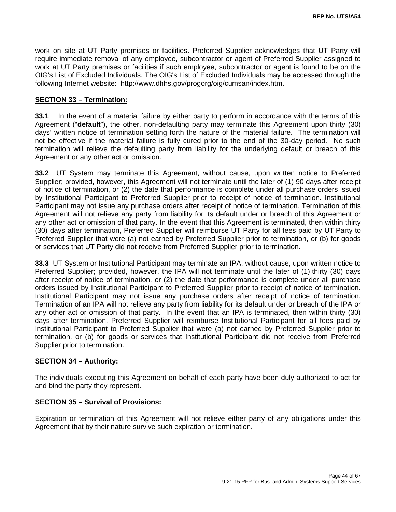work on site at UT Party premises or facilities. Preferred Supplier acknowledges that UT Party will require immediate removal of any employee, subcontractor or agent of Preferred Supplier assigned to work at UT Party premises or facilities if such employee, subcontractor or agent is found to be on the OIG's List of Excluded Individuals. The OIG's List of Excluded Individuals may be accessed through the following Internet website: http://www.dhhs.gov/progorg/oig/cumsan/index.htm.

#### **SECTION 33 – Termination:**

**33.1** In the event of a material failure by either party to perform in accordance with the terms of this Agreement ("**default**"), the other, non-defaulting party may terminate this Agreement upon thirty (30) days' written notice of termination setting forth the nature of the material failure. The termination will not be effective if the material failure is fully cured prior to the end of the 30-day period. No such termination will relieve the defaulting party from liability for the underlying default or breach of this Agreement or any other act or omission.

**33.2** UT System may terminate this Agreement, without cause, upon written notice to Preferred Supplier; provided, however, this Agreement will not terminate until the later of (1) 90 days after receipt of notice of termination, or (2) the date that performance is complete under all purchase orders issued by Institutional Participant to Preferred Supplier prior to receipt of notice of termination. Institutional Participant may not issue any purchase orders after receipt of notice of termination. Termination of this Agreement will not relieve any party from liability for its default under or breach of this Agreement or any other act or omission of that party. In the event that this Agreement is terminated, then within thirty (30) days after termination, Preferred Supplier will reimburse UT Party for all fees paid by UT Party to Preferred Supplier that were (a) not earned by Preferred Supplier prior to termination, or (b) for goods or services that UT Party did not receive from Preferred Supplier prior to termination.

**33.3** UT System or Institutional Participant may terminate an IPA, without cause, upon written notice to Preferred Supplier; provided, however, the IPA will not terminate until the later of (1) thirty (30) days after receipt of notice of termination, or (2) the date that performance is complete under all purchase orders issued by Institutional Participant to Preferred Supplier prior to receipt of notice of termination. Institutional Participant may not issue any purchase orders after receipt of notice of termination. Termination of an IPA will not relieve any party from liability for its default under or breach of the IPA or any other act or omission of that party. In the event that an IPA is terminated, then within thirty (30) days after termination, Preferred Supplier will reimburse Institutional Participant for all fees paid by Institutional Participant to Preferred Supplier that were (a) not earned by Preferred Supplier prior to termination, or (b) for goods or services that Institutional Participant did not receive from Preferred Supplier prior to termination.

### **SECTION 34 – Authority:**

The individuals executing this Agreement on behalf of each party have been duly authorized to act for and bind the party they represent.

#### **SECTION 35 – Survival of Provisions:**

Expiration or termination of this Agreement will not relieve either party of any obligations under this Agreement that by their nature survive such expiration or termination.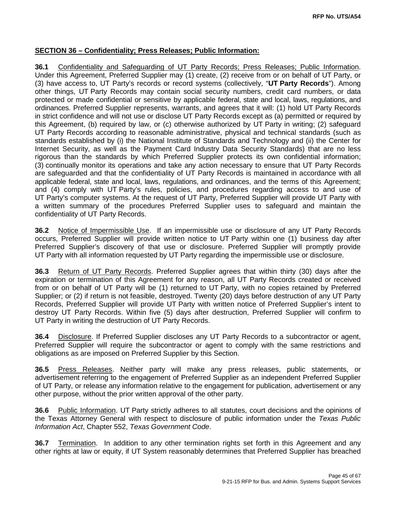### **SECTION 36 – Confidentiality; Press Releases; Public Information:**

**36.1** Confidentiality and Safeguarding of UT Party Records; Press Releases; Public Information. Under this Agreement, Preferred Supplier may (1) create, (2) receive from or on behalf of UT Party, or (3) have access to, UT Party's records or record systems (collectively, "**UT Party Records**"). Among other things, UT Party Records may contain social security numbers, credit card numbers, or data protected or made confidential or sensitive by applicable federal, state and local, laws, regulations, and ordinances. Preferred Supplier represents, warrants, and agrees that it will: (1) hold UT Party Records in strict confidence and will not use or disclose UT Party Records except as (a) permitted or required by this Agreement, (b) required by law, or (c) otherwise authorized by UT Party in writing; (2) safeguard UT Party Records according to reasonable administrative, physical and technical standards (such as standards established by (i) the National Institute of Standards and Technology and (ii) the Center for Internet Security, as well as the Payment Card Industry Data Security Standards) that are no less rigorous than the standards by which Preferred Supplier protects its own confidential information; (3) continually monitor its operations and take any action necessary to ensure that UT Party Records are safeguarded and that the confidentiality of UT Party Records is maintained in accordance with all applicable federal, state and local, laws, regulations, and ordinances, and the terms of this Agreement; and (4) comply with UT Party's rules, policies, and procedures regarding access to and use of UT Party's computer systems. At the request of UT Party, Preferred Supplier will provide UT Party with a written summary of the procedures Preferred Supplier uses to safeguard and maintain the confidentiality of UT Party Records.

**36.2** Notice of Impermissible Use.If an impermissible use or disclosure of any UT Party Records occurs, Preferred Supplier will provide written notice to UT Party within one (1) business day after Preferred Supplier's discovery of that use or disclosure. Preferred Supplier will promptly provide UT Party with all information requested by UT Party regarding the impermissible use or disclosure.

**36.3** Return of UT Party Records. Preferred Supplier agrees that within thirty (30) days after the expiration or termination of this Agreement for any reason, all UT Party Records created or received from or on behalf of UT Party will be (1) returned to UT Party, with no copies retained by Preferred Supplier; or (2) if return is not feasible, destroyed. Twenty (20) days before destruction of any UT Party Records, Preferred Supplier will provide UT Party with written notice of Preferred Supplier's intent to destroy UT Party Records. Within five (5) days after destruction, Preferred Supplier will confirm to UT Party in writing the destruction of UT Party Records.

**36.4** Disclosure. If Preferred Supplier discloses any UT Party Records to a subcontractor or agent, Preferred Supplier will require the subcontractor or agent to comply with the same restrictions and obligations as are imposed on Preferred Supplier by this Section.

**36.5** Press Releases. Neither party will make any press releases, public statements, or advertisement referring to the engagement of Preferred Supplier as an independent Preferred Supplier of UT Party, or release any information relative to the engagement for publication, advertisement or any other purpose, without the prior written approval of the other party.

**36.6** Public Information. UT Party strictly adheres to all statutes, court decisions and the opinions of the Texas Attorney General with respect to disclosure of public information under the *Texas Public Information Act*, Chapter 552, *Texas Government Code*.

**36.7** Termination. In addition to any other termination rights set forth in this Agreement and any other rights at law or equity, if UT System reasonably determines that Preferred Supplier has breached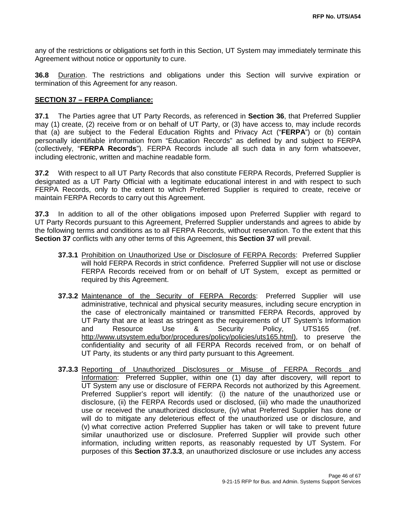any of the restrictions or obligations set forth in this Section, UT System may immediately terminate this Agreement without notice or opportunity to cure.

**36.8** Duration. The restrictions and obligations under this Section will survive expiration or termination of this Agreement for any reason.

### **SECTION 37 – FERPA Compliance:**

**37.1** The Parties agree that UT Party Records, as referenced in **Section 36**, that Preferred Supplier may (1) create, (2) receive from or on behalf of UT Party, or (3) have access to, may include records that (a) are subject to the Federal Education Rights and Privacy Act ("**FERPA**") or (b) contain personally identifiable information from "Education Records" as defined by and subject to FERPA (collectively, "**FERPA Records**"). FERPA Records include all such data in any form whatsoever, including electronic, written and machine readable form.

**37.2** With respect to all UT Party Records that also constitute FERPA Records, Preferred Supplier is designated as a UT Party Official with a legitimate educational interest in and with respect to such FERPA Records, only to the extent to which Preferred Supplier is required to create, receive or maintain FERPA Records to carry out this Agreement.

**37.3** In addition to all of the other obligations imposed upon Preferred Supplier with regard to UT Party Records pursuant to this Agreement, Preferred Supplier understands and agrees to abide by the following terms and conditions as to all FERPA Records, without reservation. To the extent that this **Section 37** conflicts with any other terms of this Agreement, this **Section 37** will prevail.

- **37.3.1** Prohibition on Unauthorized Use or Disclosure of FERPA Records: Preferred Supplier will hold FERPA Records in strict confidence. Preferred Supplier will not use or disclose FERPA Records received from or on behalf of UT System, except as permitted or required by this Agreement.
- **37.3.2** Maintenance of the Security of FERPA Records: Preferred Supplier will use administrative, technical and physical security measures, including secure encryption in the case of electronically maintained or transmitted FERPA Records, approved by UT Party that are at least as stringent as the requirements of UT System's Information<br>and Resource Use & Security Policy UTS165 (ref. and Resource Use & Security Policy, UTS165 (ref. [http://www.utsystem.edu/bor/procedures/policy/policies/uts165.html\)](http://www.utsystem.edu/bor/procedures/policy/policies/uts165.html), to preserve the confidentiality and security of all FERPA Records received from, or on behalf of UT Party, its students or any third party pursuant to this Agreement.
- **37.3.3** Reporting of Unauthorized Disclosures or Misuse of FERPA Records and Information: Preferred Supplier, within one (1) day after discovery, will report to UT System any use or disclosure of FERPA Records not authorized by this Agreement. Preferred Supplier's report will identify: (i) the nature of the unauthorized use or disclosure, (ii) the FERPA Records used or disclosed, (iii) who made the unauthorized use or received the unauthorized disclosure, (iv) what Preferred Supplier has done or will do to mitigate any deleterious effect of the unauthorized use or disclosure, and (v) what corrective action Preferred Supplier has taken or will take to prevent future similar unauthorized use or disclosure. Preferred Supplier will provide such other information, including written reports, as reasonably requested by UT System. For purposes of this **Section 37.3.3**, an unauthorized disclosure or use includes any access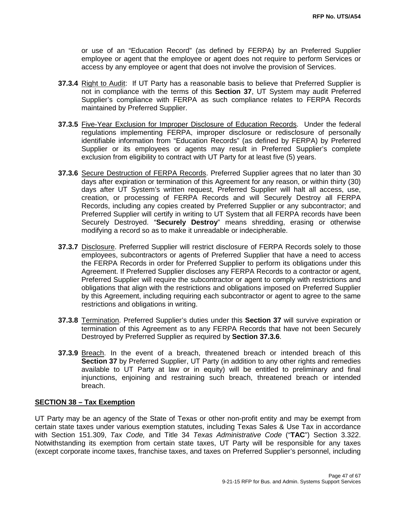or use of an "Education Record" (as defined by FERPA) by an Preferred Supplier employee or agent that the employee or agent does not require to perform Services or access by any employee or agent that does not involve the provision of Services.

- **37.3.4** Right to Audit:If UT Party has a reasonable basis to believe that Preferred Supplier is not in compliance with the terms of this **Section 37**, UT System may audit Preferred Supplier's compliance with FERPA as such compliance relates to FERPA Records maintained by Preferred Supplier.
- **37.3.5** Five-Year Exclusion for Improper Disclosure of Education Records.Under the federal regulations implementing FERPA, improper disclosure or redisclosure of personally identifiable information from "Education Records" (as defined by FERPA) by Preferred Supplier or its employees or agents may result in Preferred Supplier's complete exclusion from eligibility to contract with UT Party for at least five (5) years.
- **37.3.6** Secure Destruction of FERPA Records. Preferred Supplier agrees that no later than 30 days after expiration or termination of this Agreement for any reason, or within thirty (30) days after UT System's written request, Preferred Supplier will halt all access, use, creation, or processing of FERPA Records and will Securely Destroy all FERPA Records, including any copies created by Preferred Supplier or any subcontractor; and Preferred Supplier will certify in writing to UT System that all FERPA records have been Securely Destroyed. "**Securely Destroy**" means shredding, erasing or otherwise modifying a record so as to make it unreadable or indecipherable.
- **37.3.7** Disclosure. Preferred Supplier will restrict disclosure of FERPA Records solely to those employees, subcontractors or agents of Preferred Supplier that have a need to access the FERPA Records in order for Preferred Supplier to perform its obligations under this Agreement. If Preferred Supplier discloses any FERPA Records to a contractor or agent, Preferred Supplier will require the subcontractor or agent to comply with restrictions and obligations that align with the restrictions and obligations imposed on Preferred Supplier by this Agreement, including requiring each subcontractor or agent to agree to the same restrictions and obligations in writing.
- **37.3.8** Termination. Preferred Supplier's duties under this **Section 37** will survive expiration or termination of this Agreement as to any FERPA Records that have not been Securely Destroyed by Preferred Supplier as required by **Section 37.3.6**.
- **37.3.9** Breach. In the event of a breach, threatened breach or intended breach of this **Section 37** by Preferred Supplier, UT Party (in addition to any other rights and remedies available to UT Party at law or in equity) will be entitled to preliminary and final injunctions, enjoining and restraining such breach, threatened breach or intended breach.

### **SECTION 38 – Tax Exemption**

UT Party may be an agency of the State of Texas or other non-profit entity and may be exempt from certain state taxes under various exemption statutes, including Texas Sales & Use Tax in accordance with Section 151.309, *Tax Code,* and Title 34 *Texas Administrative Code* ("**TAC**") Section 3.322. Notwithstanding its exemption from certain state taxes, UT Party will be responsible for any taxes (except corporate income taxes, franchise taxes, and taxes on Preferred Supplier's personnel, including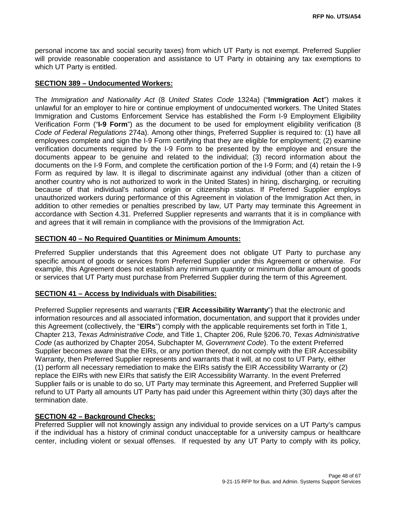personal income tax and social security taxes) from which UT Party is not exempt. Preferred Supplier will provide reasonable cooperation and assistance to UT Party in obtaining any tax exemptions to which UT Party is entitled.

#### **SECTION 389 – Undocumented Workers:**

The *Immigration and Nationality Act* (8 *United States Code* 1324a) ("**Immigration Act**") makes it unlawful for an employer to hire or continue employment of undocumented workers. The United States Immigration and Customs Enforcement Service has established the Form I-9 Employment Eligibility Verification Form ("**I-9 Form**") as the document to be used for employment eligibility verification (8 *Code of Federal Regulations* 274a). Among other things, Preferred Supplier is required to: (1) have all employees complete and sign the I-9 Form certifying that they are eligible for employment; (2) examine verification documents required by the I-9 Form to be presented by the employee and ensure the documents appear to be genuine and related to the individual; (3) record information about the documents on the I-9 Form, and complete the certification portion of the I-9 Form; and (4) retain the I-9 Form as required by law. It is illegal to discriminate against any individual (other than a citizen of another country who is not authorized to work in the United States) in hiring, discharging, or recruiting because of that individual's national origin or citizenship status. If Preferred Supplier employs unauthorized workers during performance of this Agreement in violation of the Immigration Act then, in addition to other remedies or penalties prescribed by law, UT Party may terminate this Agreement in accordance with Section 4.31. Preferred Supplier represents and warrants that it is in compliance with and agrees that it will remain in compliance with the provisions of the Immigration Act.

#### **SECTION 40 – No Required Quantities or Minimum Amounts:**

Preferred Supplier understands that this Agreement does not obligate UT Party to purchase any specific amount of goods or services from Preferred Supplier under this Agreement or otherwise. For example, this Agreement does not establish any minimum quantity or minimum dollar amount of goods or services that UT Party must purchase from Preferred Supplier during the term of this Agreement.

#### **SECTION 41 – Access by Individuals with Disabilities:**

Preferred Supplier represents and warrants ("**EIR Accessibility Warranty**") that the electronic and information resources and all associated information, documentation, and support that it provides under this Agreement (collectively, the "**EIRs**") comply with the applicable requirements set forth in Title 1, Chapter 213, *Texas Administrative Code,* and Title 1, Chapter 206, Rule §206.70, *Texas Administrative Code* (as authorized by Chapter 2054, Subchapter M, *Government Code*). To the extent Preferred Supplier becomes aware that the EIRs, or any portion thereof, do not comply with the EIR Accessibility Warranty, then Preferred Supplier represents and warrants that it will, at no cost to UT Party, either (1) perform all necessary remediation to make the EIRs satisfy the EIR Accessibility Warranty or (2) replace the EIRs with new EIRs that satisfy the EIR Accessibility Warranty. In the event Preferred Supplier fails or is unable to do so, UT Party may terminate this Agreement, and Preferred Supplier will refund to UT Party all amounts UT Party has paid under this Agreement within thirty (30) days after the termination date.

### **SECTION 42 – Background Checks:**

Preferred Supplier will not knowingly assign any individual to provide services on a UT Party's campus if the individual has a history of criminal conduct unacceptable for a university campus or healthcare center, including violent or sexual offenses. If requested by any UT Party to comply with its policy,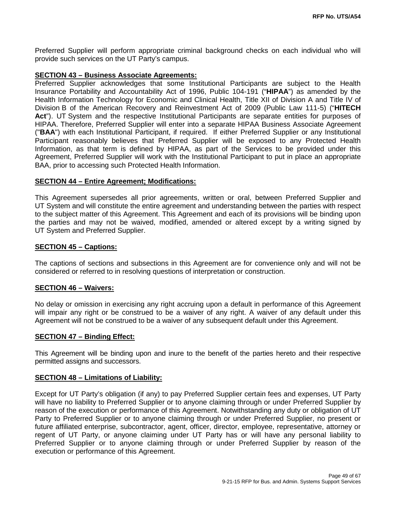Preferred Supplier will perform appropriate criminal background checks on each individual who will provide such services on the UT Party's campus.

#### **SECTION 43 – Business Associate Agreements:**

Preferred Supplier acknowledges that some Institutional Participants are subject to the Health Insurance Portability and Accountability Act of 1996, Public 104-191 ("**HIPAA**") as amended by the Health Information Technology for Economic and Clinical Health, Title XII of Division A and Title IV of Division B of the American Recovery and Reinvestment Act of 2009 (Public Law 111-5) ("**HITECH**  Act"). UT System and the respective Institutional Participants are separate entities for purposes of HIPAA. Therefore, Preferred Supplier will enter into a separate HIPAA Business Associate Agreement ("**BAA**") with each Institutional Participant, if required. If either Preferred Supplier or any Institutional Participant reasonably believes that Preferred Supplier will be exposed to any Protected Health Information, as that term is defined by HIPAA, as part of the Services to be provided under this Agreement, Preferred Supplier will work with the Institutional Participant to put in place an appropriate BAA, prior to accessing such Protected Health Information.

#### **SECTION 44 – Entire Agreement; Modifications:**

This Agreement supersedes all prior agreements, written or oral, between Preferred Supplier and UT System and will constitute the entire agreement and understanding between the parties with respect to the subject matter of this Agreement. This Agreement and each of its provisions will be binding upon the parties and may not be waived, modified, amended or altered except by a writing signed by UT System and Preferred Supplier.

### **SECTION 45 – Captions:**

The captions of sections and subsections in this Agreement are for convenience only and will not be considered or referred to in resolving questions of interpretation or construction.

#### **SECTION 46 – Waivers:**

No delay or omission in exercising any right accruing upon a default in performance of this Agreement will impair any right or be construed to be a waiver of any right. A waiver of any default under this Agreement will not be construed to be a waiver of any subsequent default under this Agreement.

#### **SECTION 47 – Binding Effect:**

This Agreement will be binding upon and inure to the benefit of the parties hereto and their respective permitted assigns and successors.

#### **SECTION 48 – Limitations of Liability:**

Except for UT Party's obligation (if any) to pay Preferred Supplier certain fees and expenses, UT Party will have no liability to Preferred Supplier or to anyone claiming through or under Preferred Supplier by reason of the execution or performance of this Agreement. Notwithstanding any duty or obligation of UT Party to Preferred Supplier or to anyone claiming through or under Preferred Supplier, no present or future affiliated enterprise, subcontractor, agent, officer, director, employee, representative, attorney or regent of UT Party, or anyone claiming under UT Party has or will have any personal liability to Preferred Supplier or to anyone claiming through or under Preferred Supplier by reason of the execution or performance of this Agreement.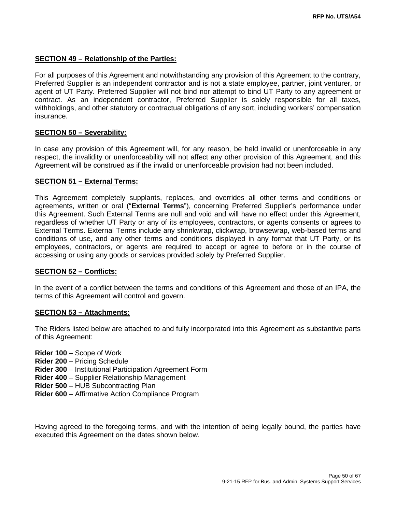### **SECTION 49 – Relationship of the Parties:**

For all purposes of this Agreement and notwithstanding any provision of this Agreement to the contrary, Preferred Supplier is an independent contractor and is not a state employee, partner, joint venturer, or agent of UT Party. Preferred Supplier will not bind nor attempt to bind UT Party to any agreement or contract. As an independent contractor, Preferred Supplier is solely responsible for all taxes, withholdings, and other statutory or contractual obligations of any sort, including workers' compensation insurance.

### **SECTION 50 – Severability:**

In case any provision of this Agreement will, for any reason, be held invalid or unenforceable in any respect, the invalidity or unenforceability will not affect any other provision of this Agreement, and this Agreement will be construed as if the invalid or unenforceable provision had not been included.

### **SECTION 51 – External Terms:**

This Agreement completely supplants, replaces, and overrides all other terms and conditions or agreements, written or oral ("**External Terms**"), concerning Preferred Supplier's performance under this Agreement. Such External Terms are null and void and will have no effect under this Agreement, regardless of whether UT Party or any of its employees, contractors, or agents consents or agrees to External Terms. External Terms include any shrinkwrap, clickwrap, browsewrap, web-based terms and conditions of use, and any other terms and conditions displayed in any format that UT Party, or its employees, contractors, or agents are required to accept or agree to before or in the course of accessing or using any goods or services provided solely by Preferred Supplier.

#### **SECTION 52 – Conflicts:**

In the event of a conflict between the terms and conditions of this Agreement and those of an IPA, the terms of this Agreement will control and govern.

#### **SECTION 53 – Attachments:**

The Riders listed below are attached to and fully incorporated into this Agreement as substantive parts of this Agreement:

- **Rider 100** Scope of Work
- **Rider 200** Pricing Schedule
- **Rider 300** Institutional Participation Agreement Form
- **Rider 400** Supplier Relationship Management
- **Rider 500** HUB Subcontracting Plan
- **Rider 600** Affirmative Action Compliance Program

Having agreed to the foregoing terms, and with the intention of being legally bound, the parties have executed this Agreement on the dates shown below.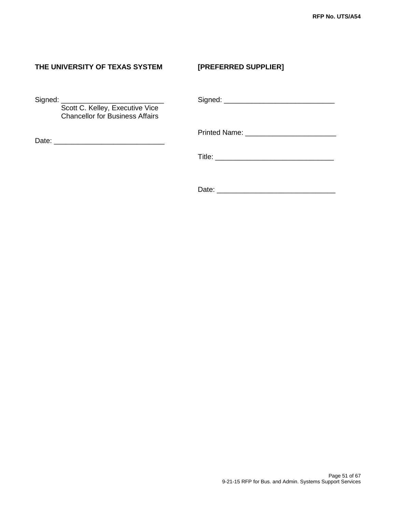## **THE UNIVERSITY OF TEXAS SYSTEM [PREFERRED SUPPLIER]**

Scott C. Kelley, Executive Vice Chancellor for Business Affairs

Date: \_\_\_\_\_\_\_\_\_\_\_\_\_\_\_\_\_\_\_\_\_\_\_\_\_\_\_\_

Signed: \_\_\_\_\_\_\_\_\_\_\_\_\_\_\_\_\_\_\_\_\_\_\_\_\_\_ Signed: \_\_\_\_\_\_\_\_\_\_\_\_\_\_\_\_\_\_\_\_\_\_\_\_\_\_\_\_

Printed Name: **Example 20** 

Title: \_\_\_\_\_\_\_\_\_\_\_\_\_\_\_\_\_\_\_\_\_\_\_\_\_\_\_\_\_\_

Date: \_\_\_\_\_\_\_\_\_\_\_\_\_\_\_\_\_\_\_\_\_\_\_\_\_\_\_\_\_\_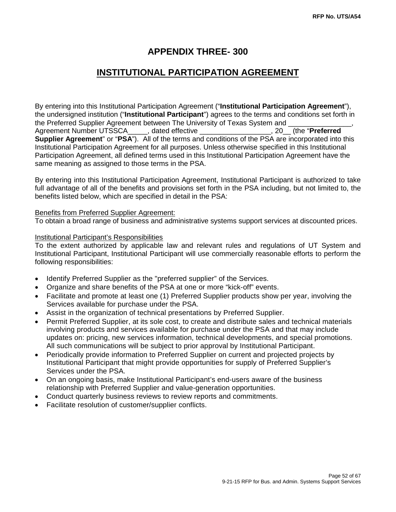## **APPENDIX THREE- 300**

## **INSTITUTIONAL PARTICIPATION AGREEMENT**

By entering into this Institutional Participation Agreement ("**Institutional Participation Agreement**"), the undersigned institution ("**Institutional Participant**") agrees to the terms and conditions set forth in the Preferred Supplier Agreement between The University of Texas System and Agreement Number UTSSCA\_\_\_\_\_, dated effective \_\_\_\_\_\_\_\_\_\_\_\_\_\_\_\_\_\_, 20\_\_ (the "**Preferred Supplier Agreement**" or "**PSA**"). All of the terms and conditions of the PSA are incorporated into this Institutional Participation Agreement for all purposes. Unless otherwise specified in this Institutional Participation Agreement, all defined terms used in this Institutional Participation Agreement have the same meaning as assigned to those terms in the PSA.

By entering into this Institutional Participation Agreement, Institutional Participant is authorized to take full advantage of all of the benefits and provisions set forth in the PSA including, but not limited to, the benefits listed below, which are specified in detail in the PSA:

#### Benefits from Preferred Supplier Agreement:

To obtain a broad range of business and administrative systems support services at discounted prices.

#### Institutional Participant's Responsibilities

To the extent authorized by applicable law and relevant rules and regulations of UT System and Institutional Participant, Institutional Participant will use commercially reasonable efforts to perform the following responsibilities:

- Identify Preferred Supplier as the "preferred supplier" of the Services.
- Organize and share benefits of the PSA at one or more "kick-off" events.
- Facilitate and promote at least one (1) Preferred Supplier products show per year, involving the Services available for purchase under the PSA.
- Assist in the organization of technical presentations by Preferred Supplier.
- Permit Preferred Supplier, at its sole cost, to create and distribute sales and technical materials involving products and services available for purchase under the PSA and that may include updates on: pricing, new services information, technical developments, and special promotions. All such communications will be subject to prior approval by Institutional Participant.
- Periodically provide information to Preferred Supplier on current and projected projects by Institutional Participant that might provide opportunities for supply of Preferred Supplier's Services under the PSA.
- On an ongoing basis, make Institutional Participant's end-users aware of the business relationship with Preferred Supplier and value-generation opportunities.
- Conduct quarterly business reviews to review reports and commitments.
- Facilitate resolution of customer/supplier conflicts.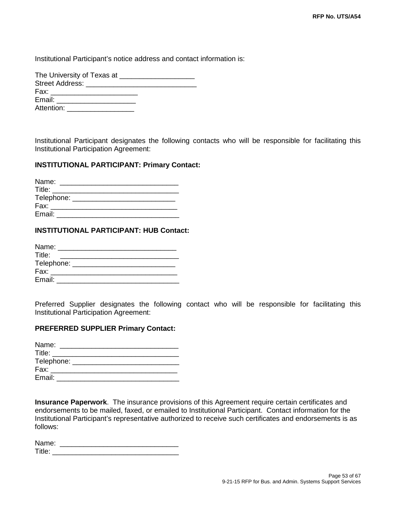Institutional Participant's notice address and contact information is:

| The University of Texas at __________                                                                                                                                                                                          |
|--------------------------------------------------------------------------------------------------------------------------------------------------------------------------------------------------------------------------------|
|                                                                                                                                                                                                                                |
| Fax: Figure 1999 and the contract of the contract of the contract of the contract of the contract of the contract of the contract of the contract of the contract of the contract of the contract of the contract of the contr |
| Email: Email:                                                                                                                                                                                                                  |
| Attention: Attention                                                                                                                                                                                                           |

Institutional Participant designates the following contacts who will be responsible for facilitating this Institutional Participation Agreement:

#### **INSTITUTIONAL PARTICIPANT: Primary Contact:**

| Name:      |  |  |  |
|------------|--|--|--|
| Title:     |  |  |  |
| Telephone: |  |  |  |
| Fax:       |  |  |  |
| Email:     |  |  |  |
|            |  |  |  |

#### **INSTITUTIONAL PARTICIPANT: HUB Contact:**

| Name:      |  |
|------------|--|
| Title:     |  |
| Telephone: |  |
| Fax:       |  |
| Email:     |  |

Preferred Supplier designates the following contact who will be responsible for facilitating this Institutional Participation Agreement:

#### **PREFERRED SUPPLIER Primary Contact:**

| Name:      |  |
|------------|--|
| Title:     |  |
| Telephone: |  |
| Fax:       |  |
| Email:     |  |

**Insurance Paperwork**. The insurance provisions of this Agreement require certain certificates and endorsements to be mailed, faxed, or emailed to Institutional Participant. Contact information for the Institutional Participant's representative authorized to receive such certificates and endorsements is as follows:

| Name:<br>.            |  |  |  |
|-----------------------|--|--|--|
| -<br>ם חד<br>$\cdots$ |  |  |  |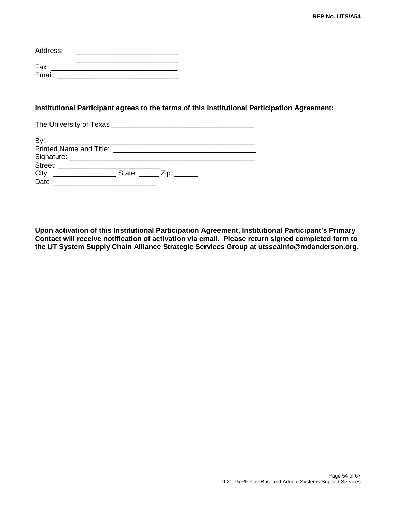| Address: |  |
|----------|--|
| Fax:     |  |
| Email:   |  |

### **Institutional Participant agrees to the terms of this Institutional Participation Agreement:**

The University of Texas \_\_\_\_\_\_\_\_\_\_\_\_\_\_\_\_\_\_\_\_\_\_\_\_\_\_\_\_\_\_\_\_\_\_\_\_

| City: | State: $\frac{Zip:$ |
|-------|---------------------|
| Date: |                     |

**Upon activation of this Institutional Participation Agreement, Institutional Participant's Primary Contact will receive notification of activation via email. Please return signed completed form to the UT System Supply Chain Alliance Strategic Services Group at utsscainfo@mdanderson.org.**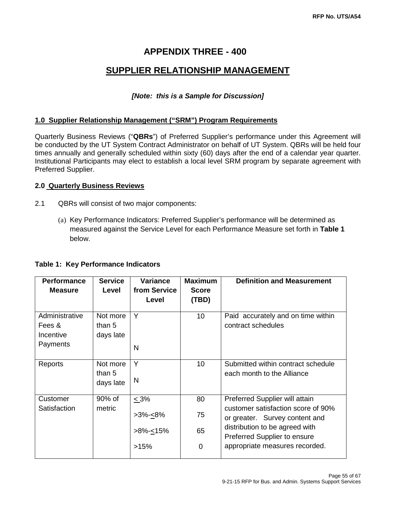## **APPENDIX THREE - 400**

## **SUPPLIER RELATIONSHIP MANAGEMENT**

### *[Note: this is a Sample for Discussion]*

### **1.0 Supplier Relationship Management ("SRM") Program Requirements**

Quarterly Business Reviews ("**QBRs**") of Preferred Supplier's performance under this Agreement will be conducted by the UT System Contract Administrator on behalf of UT System. QBRs will be held four times annually and generally scheduled within sixty (60) days after the end of a calendar year quarter. Institutional Participants may elect to establish a local level SRM program by separate agreement with Preferred Supplier.

### **2.0 Quarterly Business Reviews**

- 2.1 QBRs will consist of two major components:
	- (a) Key Performance Indicators: Preferred Supplier's performance will be determined as measured against the Service Level for each Performance Measure set forth in **Table 1** below.

| <b>Performance</b><br><b>Measure</b>              | <b>Service</b><br>Level         | Variance<br>from Service<br>Level       | <b>Maximum</b><br><b>Score</b><br>(TBD) | <b>Definition and Measurement</b>                                                                                                                                        |
|---------------------------------------------------|---------------------------------|-----------------------------------------|-----------------------------------------|--------------------------------------------------------------------------------------------------------------------------------------------------------------------------|
| Administrative<br>Fees &<br>Incentive<br>Payments | Not more<br>than 5<br>days late | Y<br>N                                  | 10                                      | Paid accurately and on time within<br>contract schedules                                                                                                                 |
| Reports                                           | Not more<br>than 5<br>days late | Y<br>N                                  | 10                                      | Submitted within contract schedule<br>each month to the Alliance                                                                                                         |
| Customer                                          | 90% of                          | $\leq 3\%$                              | 80                                      | Preferred Supplier will attain                                                                                                                                           |
| Satisfaction                                      | metric                          | >3%-⊴8%<br>>8%- <u>&lt;</u> 15%<br>>15% | 75<br>65<br>0                           | customer satisfaction score of 90%<br>or greater. Survey content and<br>distribution to be agreed with<br>Preferred Supplier to ensure<br>appropriate measures recorded. |
|                                                   |                                 |                                         |                                         |                                                                                                                                                                          |

### **Table 1: Key Performance Indicators**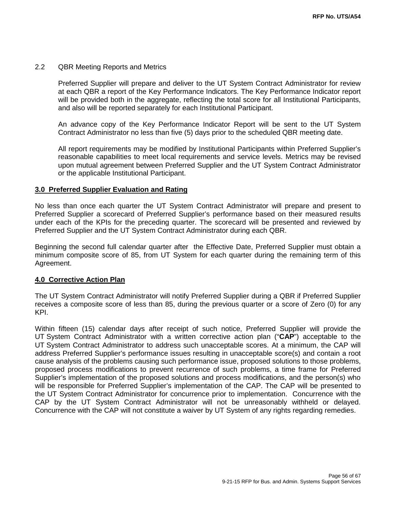#### 2.2 QBR Meeting Reports and Metrics

Preferred Supplier will prepare and deliver to the UT System Contract Administrator for review at each QBR a report of the Key Performance Indicators. The Key Performance Indicator report will be provided both in the aggregate, reflecting the total score for all Institutional Participants, and also will be reported separately for each Institutional Participant.

An advance copy of the Key Performance Indicator Report will be sent to the UT System Contract Administrator no less than five (5) days prior to the scheduled QBR meeting date.

All report requirements may be modified by Institutional Participants within Preferred Supplier's reasonable capabilities to meet local requirements and service levels. Metrics may be revised upon mutual agreement between Preferred Supplier and the UT System Contract Administrator or the applicable Institutional Participant.

#### **3.0 Preferred Supplier Evaluation and Rating**

No less than once each quarter the UT System Contract Administrator will prepare and present to Preferred Supplier a scorecard of Preferred Supplier's performance based on their measured results under each of the KPIs for the preceding quarter. The scorecard will be presented and reviewed by Preferred Supplier and the UT System Contract Administrator during each QBR.

Beginning the second full calendar quarter after the Effective Date, Preferred Supplier must obtain a minimum composite score of 85, from UT System for each quarter during the remaining term of this Agreement.

#### **4.0 Corrective Action Plan**

The UT System Contract Administrator will notify Preferred Supplier during a QBR if Preferred Supplier receives a composite score of less than 85, during the previous quarter or a score of Zero (0) for any KPI.

Within fifteen (15) calendar days after receipt of such notice, Preferred Supplier will provide the UT System Contract Administrator with a written corrective action plan ("**CAP**") acceptable to the UT System Contract Administrator to address such unacceptable scores. At a minimum, the CAP will address Preferred Supplier's performance issues resulting in unacceptable score(s) and contain a root cause analysis of the problems causing such performance issue, proposed solutions to those problems, proposed process modifications to prevent recurrence of such problems, a time frame for Preferred Supplier's implementation of the proposed solutions and process modifications, and the person(s) who will be responsible for Preferred Supplier's implementation of the CAP. The CAP will be presented to the UT System Contract Administrator for concurrence prior to implementation. Concurrence with the CAP by the UT System Contract Administrator will not be unreasonably withheld or delayed. Concurrence with the CAP will not constitute a waiver by UT System of any rights regarding remedies.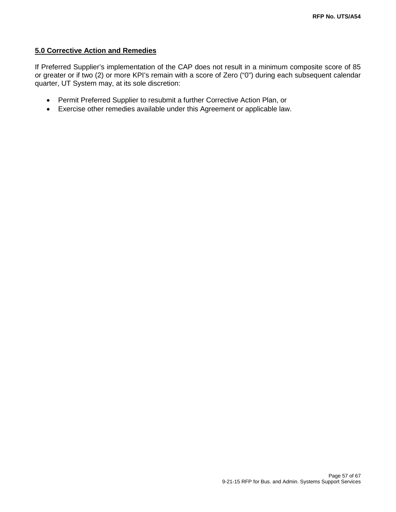### **5.0 Corrective Action and Remedies**

If Preferred Supplier's implementation of the CAP does not result in a minimum composite score of 85 or greater or if two (2) or more KPI's remain with a score of Zero ("0") during each subsequent calendar quarter, UT System may, at its sole discretion:

- Permit Preferred Supplier to resubmit a further Corrective Action Plan, or
- Exercise other remedies available under this Agreement or applicable law.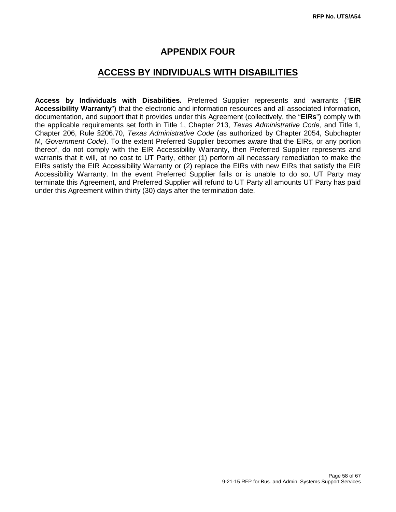## **APPENDIX FOUR**

## **ACCESS BY INDIVIDUALS WITH DISABILITIES**

**Access by Individuals with Disabilities.** Preferred Supplier represents and warrants ("**EIR Accessibility Warranty**") that the electronic and information resources and all associated information, documentation, and support that it provides under this Agreement (collectively, the "**EIRs**") comply with the applicable requirements set forth in Title 1, Chapter 213, *Texas Administrative Code,* and Title 1, Chapter 206, Rule §206.70, *Texas Administrative Code* (as authorized by Chapter 2054, Subchapter M, *Government Code*). To the extent Preferred Supplier becomes aware that the EIRs, or any portion thereof, do not comply with the EIR Accessibility Warranty, then Preferred Supplier represents and warrants that it will, at no cost to UT Party, either (1) perform all necessary remediation to make the EIRs satisfy the EIR Accessibility Warranty or (2) replace the EIRs with new EIRs that satisfy the EIR Accessibility Warranty. In the event Preferred Supplier fails or is unable to do so, UT Party may terminate this Agreement, and Preferred Supplier will refund to UT Party all amounts UT Party has paid under this Agreement within thirty (30) days after the termination date.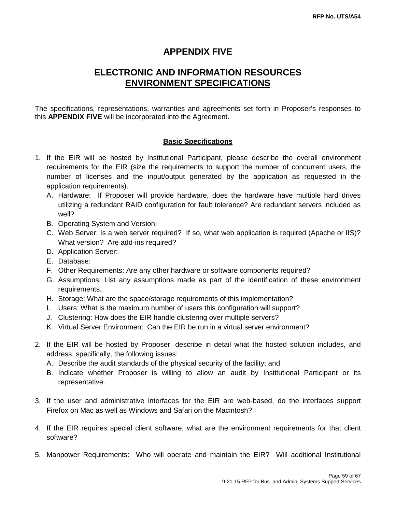## **APPENDIX FIVE**

## **ELECTRONIC AND INFORMATION RESOURCES ENVIRONMENT SPECIFICATIONS**

The specifications, representations, warranties and agreements set forth in Proposer's responses to this **APPENDIX FIVE** will be incorporated into the Agreement.

### **Basic Specifications**

- 1. If the EIR will be hosted by Institutional Participant, please describe the overall environment requirements for the EIR (size the requirements to support the number of concurrent users, the number of licenses and the input/output generated by the application as requested in the application requirements).
	- A. Hardware: If Proposer will provide hardware, does the hardware have multiple hard drives utilizing a redundant RAID configuration for fault tolerance? Are redundant servers included as well?
	- B. Operating System and Version:
	- C. Web Server: Is a web server required? If so, what web application is required (Apache or IIS)? What version? Are add-ins required?
	- D. Application Server:
	- E. Database:
	- F. Other Requirements: Are any other hardware or software components required?
	- G. Assumptions: List any assumptions made as part of the identification of these environment requirements.
	- H. Storage: What are the space/storage requirements of this implementation?
	- I. Users: What is the maximum number of users this configuration will support?
	- J. Clustering: How does the EIR handle clustering over multiple servers?
	- K. Virtual Server Environment: Can the EIR be run in a virtual server environment?
- 2. If the EIR will be hosted by Proposer, describe in detail what the hosted solution includes, and address, specifically, the following issues:
	- A. Describe the audit standards of the physical security of the facility; and
	- B. Indicate whether Proposer is willing to allow an audit by Institutional Participant or its representative.
- 3. If the user and administrative interfaces for the EIR are web-based, do the interfaces support Firefox on Mac as well as Windows and Safari on the Macintosh?
- 4. If the EIR requires special client software, what are the environment requirements for that client software?
- 5. Manpower Requirements: Who will operate and maintain the EIR? Will additional Institutional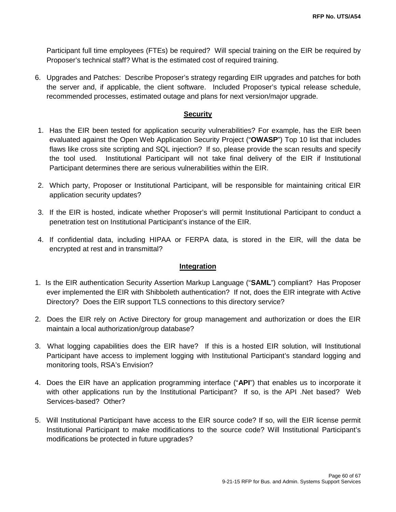Participant full time employees (FTEs) be required? Will special training on the EIR be required by Proposer's technical staff? What is the estimated cost of required training.

6. Upgrades and Patches: Describe Proposer's strategy regarding EIR upgrades and patches for both the server and, if applicable, the client software. Included Proposer's typical release schedule, recommended processes, estimated outage and plans for next version/major upgrade.

### **Security**

- 1. Has the EIR been tested for application security vulnerabilities? For example, has the EIR been evaluated against the Open Web Application Security Project ("**OWASP**") Top 10 list that includes flaws like cross site scripting and SQL injection? If so, please provide the scan results and specify the tool used. Institutional Participant will not take final delivery of the EIR if Institutional Participant determines there are serious vulnerabilities within the EIR.
- 2. Which party, Proposer or Institutional Participant, will be responsible for maintaining critical EIR application security updates?
- 3. If the EIR is hosted, indicate whether Proposer's will permit Institutional Participant to conduct a penetration test on Institutional Participant's instance of the EIR.
- 4. If confidential data, including HIPAA or FERPA data, is stored in the EIR, will the data be encrypted at rest and in transmittal?

#### **Integration**

- 1. Is the EIR authentication Security Assertion Markup Language ("**SAML**") compliant? Has Proposer ever implemented the EIR with Shibboleth authentication? If not, does the EIR integrate with Active Directory? Does the EIR support TLS connections to this directory service?
- 2. Does the EIR rely on Active Directory for group management and authorization or does the EIR maintain a local authorization/group database?
- 3. What logging capabilities does the EIR have? If this is a hosted EIR solution, will Institutional Participant have access to implement logging with Institutional Participant's standard logging and monitoring tools, RSA's Envision?
- 4. Does the EIR have an application programming interface ("**API**") that enables us to incorporate it with other applications run by the Institutional Participant? If so, is the API .Net based? Web Services-based? Other?
- 5. Will Institutional Participant have access to the EIR source code? If so, will the EIR license permit Institutional Participant to make modifications to the source code? Will Institutional Participant's modifications be protected in future upgrades?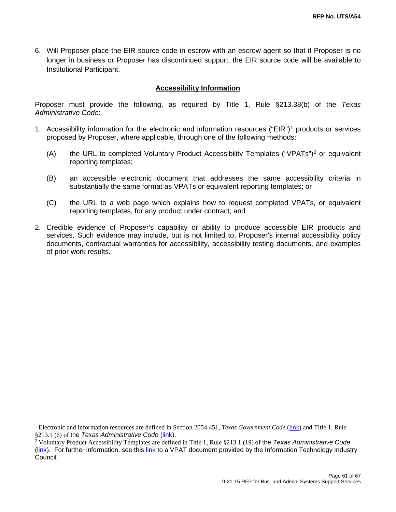6. Will Proposer place the EIR source code in escrow with an escrow agent so that if Proposer is no longer in business or Proposer has discontinued support, the EIR source code will be available to Institutional Participant.

### **Accessibility Information**

Proposer must provide the following, as required by Title 1, Rule §213.38(b) of the *Texas Administrative Code*:

- [1](#page-60-0). Accessibility information for the electronic and information resources ("EIR")<sup>1</sup> products or services proposed by Proposer, where applicable, through one of the following methods:
	- (A) the URL to completed Voluntary Product Accessibility Templates ("VPATs")[2](#page-60-1) or equivalent reporting templates;
	- (B) an accessible electronic document that addresses the same accessibility criteria in substantially the same format as VPATs or equivalent reporting templates; or
	- (C) the URL to a web page which explains how to request completed VPATs, or equivalent reporting templates, for any product under contract; and
- 2. Credible evidence of Proposer's capability or ability to produce accessible EIR products and services. Such evidence may include, but is not limited to, Proposer's internal accessibility policy documents, contractual warranties for accessibility, accessibility testing documents, and examples of prior work results.

 $\overline{a}$ 

<span id="page-60-0"></span><sup>1</sup> Electronic and information resources are defined in Section 2054.451, *Texas Government Code* [\(link\)](http://www.statutes.legis.state.tx.us/Docs/GV/htm/GV.2054.htm#2054.451) and Title 1, Rule §213.1 (6) of the *Texas Administrative Code* [\(link\)](http://texreg.sos.state.tx.us/public/readtac$ext.TacPage?sl=R&app=9&p_dir=&p_rloc=&p_tloc=&p_ploc=&pg=1&p_tac=&ti=1&pt=10&ch=213&rl=1).

<span id="page-60-1"></span><sup>2</sup> Voluntary Product Accessibility Templates are defined in Title 1, Rule §213.1 (19) of the *Texas Administrative Code* [\(link\)](http://texreg.sos.state.tx.us/public/readtac$ext.TacPage?sl=R&app=9&p_dir=&p_rloc=&p_tloc=&p_ploc=&pg=1&p_tac=&ti=1&pt=10&ch=213&rl=1). For further information, see this [link](http://www.itic.org:8080/dotAsset/5644ecd2-5024-417f-bc23-a52650f47ef8.doc) to a VPAT document provided by the Information Technology Industry Council.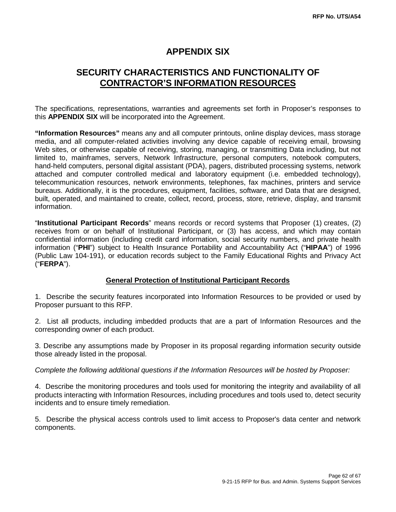## **APPENDIX SIX**

## **SECURITY CHARACTERISTICS AND FUNCTIONALITY OF CONTRACTOR'S INFORMATION RESOURCES**

The specifications, representations, warranties and agreements set forth in Proposer's responses to this **APPENDIX SIX** will be incorporated into the Agreement.

**"Information Resources"** means any and all computer printouts, online display devices, mass storage media, and all computer-related activities involving any device capable of receiving email, browsing Web sites, or otherwise capable of receiving, storing, managing, or transmitting Data including, but not limited to, mainframes, servers, Network Infrastructure, personal computers, notebook computers, hand-held computers, personal digital assistant (PDA), pagers, distributed processing systems, network attached and computer controlled medical and laboratory equipment (i.e. embedded technology), telecommunication resources, network environments, telephones, fax machines, printers and service bureaus. Additionally, it is the procedures, equipment, facilities, software, and Data that are designed, built, operated, and maintained to create, collect, record, process, store, retrieve, display, and transmit information.

"**Institutional Participant Records**" means records or record systems that Proposer (1) creates, (2) receives from or on behalf of Institutional Participant, or (3) has access, and which may contain confidential information (including credit card information, social security numbers, and private health information ("**PHI**") subject to Health Insurance Portability and Accountability Act ("**HIPAA**") of 1996 (Public Law 104-191), or education records subject to the Family Educational Rights and Privacy Act ("**FERPA**").

### **General Protection of Institutional Participant Records**

1. Describe the security features incorporated into Information Resources to be provided or used by Proposer pursuant to this RFP.

2. List all products, including imbedded products that are a part of Information Resources and the corresponding owner of each product.

3. Describe any assumptions made by Proposer in its proposal regarding information security outside those already listed in the proposal.

### *Complete the following additional questions if the Information Resources will be hosted by Proposer:*

4. Describe the monitoring procedures and tools used for monitoring the integrity and availability of all products interacting with Information Resources, including procedures and tools used to, detect security incidents and to ensure timely remediation.

5. Describe the physical access controls used to limit access to Proposer's data center and network components.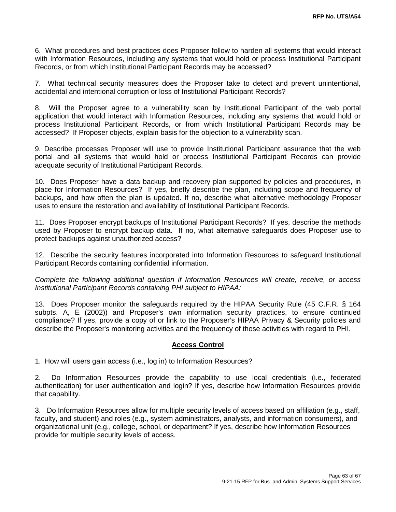6. What procedures and best practices does Proposer follow to harden all systems that would interact with Information Resources, including any systems that would hold or process Institutional Participant Records, or from which Institutional Participant Records may be accessed?

7. What technical security measures does the Proposer take to detect and prevent unintentional, accidental and intentional corruption or loss of Institutional Participant Records?

8. Will the Proposer agree to a vulnerability scan by Institutional Participant of the web portal application that would interact with Information Resources, including any systems that would hold or process Institutional Participant Records, or from which Institutional Participant Records may be accessed? If Proposer objects, explain basis for the objection to a vulnerability scan.

9. Describe processes Proposer will use to provide Institutional Participant assurance that the web portal and all systems that would hold or process Institutional Participant Records can provide adequate security of Institutional Participant Records.

10. Does Proposer have a data backup and recovery plan supported by policies and procedures, in place for Information Resources? If yes, briefly describe the plan, including scope and frequency of backups, and how often the plan is updated. If no, describe what alternative methodology Proposer uses to ensure the restoration and availability of Institutional Participant Records.

11. Does Proposer encrypt backups of Institutional Participant Records? If yes, describe the methods used by Proposer to encrypt backup data. If no, what alternative safeguards does Proposer use to protect backups against unauthorized access?

12. Describe the security features incorporated into Information Resources to safeguard Institutional Participant Records containing confidential information.

*Complete the following additional question if Information Resources will create, receive, or access Institutional Participant Records containing PHI subject to HIPAA:*

13. Does Proposer monitor the safeguards required by the HIPAA Security Rule (45 C.F.R. § 164 subpts. A, E (2002)) and Proposer's own information security practices, to ensure continued compliance? If yes, provide a copy of or link to the Proposer's HIPAA Privacy & Security policies and describe the Proposer's monitoring activities and the frequency of those activities with regard to PHI.

### **Access Control**

1. How will users gain access (i.e., log in) to Information Resources?

2. Do Information Resources provide the capability to use local credentials (i.e., federated authentication) for user authentication and login? If yes, describe how Information Resources provide that capability.

3. Do Information Resources allow for multiple security levels of access based on affiliation (e.g., staff, faculty, and student) and roles (e.g., system administrators, analysts, and information consumers), and organizational unit (e.g., college, school, or department? If yes, describe how Information Resources provide for multiple security levels of access.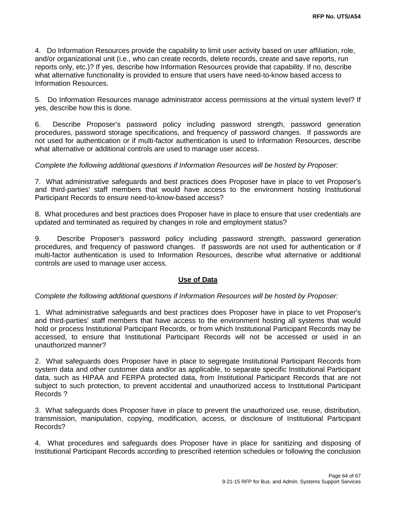4. Do Information Resources provide the capability to limit user activity based on user affiliation, role, and/or organizational unit (i.e., who can create records, delete records, create and save reports, run reports only, etc.)? If yes, describe how Information Resources provide that capability. If no, describe what alternative functionality is provided to ensure that users have need-to-know based access to Information Resources.

5. Do Information Resources manage administrator access permissions at the virtual system level? If yes, describe how this is done.

6. Describe Proposer's password policy including password strength, password generation procedures, password storage specifications, and frequency of password changes. If passwords are not used for authentication or if multi-factor authentication is used to Information Resources, describe what alternative or additional controls are used to manage user access.

### *Complete the following additional questions if Information Resources will be hosted by Proposer:*

7. What administrative safeguards and best practices does Proposer have in place to vet Proposer's and third-parties' staff members that would have access to the environment hosting Institutional Participant Records to ensure need-to-know-based access?

8. What procedures and best practices does Proposer have in place to ensure that user credentials are updated and terminated as required by changes in role and employment status?

9. Describe Proposer's password policy including password strength, password generation procedures, and frequency of password changes. If passwords are not used for authentication or if multi-factor authentication is used to Information Resources, describe what alternative or additional controls are used to manage user access.

### **Use of Data**

#### *Complete the following additional questions if Information Resources will be hosted by Proposer:*

1. What administrative safeguards and best practices does Proposer have in place to vet Proposer's and third-parties' staff members that have access to the environment hosting all systems that would hold or process Institutional Participant Records, or from which Institutional Participant Records may be accessed, to ensure that Institutional Participant Records will not be accessed or used in an unauthorized manner?

2. What safeguards does Proposer have in place to segregate Institutional Participant Records from system data and other customer data and/or as applicable, to separate specific Institutional Participant data, such as HIPAA and FERPA protected data, from Institutional Participant Records that are not subject to such protection, to prevent accidental and unauthorized access to Institutional Participant Records ?

3. What safeguards does Proposer have in place to prevent the unauthorized use, reuse, distribution, transmission, manipulation, copying, modification, access, or disclosure of Institutional Participant Records?

4. What procedures and safeguards does Proposer have in place for sanitizing and disposing of Institutional Participant Records according to prescribed retention schedules or following the conclusion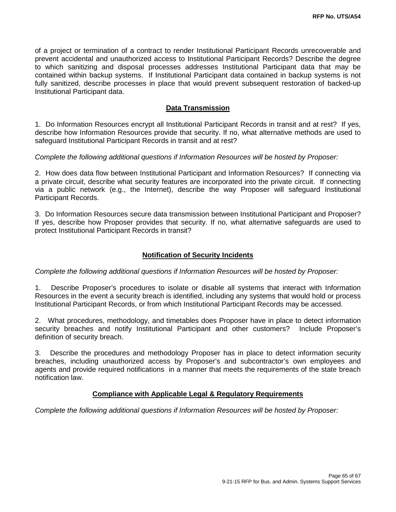of a project or termination of a contract to render Institutional Participant Records unrecoverable and prevent accidental and unauthorized access to Institutional Participant Records? Describe the degree to which sanitizing and disposal processes addresses Institutional Participant data that may be contained within backup systems. If Institutional Participant data contained in backup systems is not fully sanitized, describe processes in place that would prevent subsequent restoration of backed-up Institutional Participant data.

### **Data Transmission**

1. Do Information Resources encrypt all Institutional Participant Records in transit and at rest? If yes, describe how Information Resources provide that security. If no, what alternative methods are used to safeguard Institutional Participant Records in transit and at rest?

#### *Complete the following additional questions if Information Resources will be hosted by Proposer:*

2. How does data flow between Institutional Participant and Information Resources? If connecting via a private circuit, describe what security features are incorporated into the private circuit. If connecting via a public network (e.g., the Internet), describe the way Proposer will safeguard Institutional Participant Records.

3. Do Information Resources secure data transmission between Institutional Participant and Proposer? If yes, describe how Proposer provides that security. If no, what alternative safeguards are used to protect Institutional Participant Records in transit?

### **Notification of Security Incidents**

*Complete the following additional questions if Information Resources will be hosted by Proposer:*

1. Describe Proposer's procedures to isolate or disable all systems that interact with Information Resources in the event a security breach is identified, including any systems that would hold or process Institutional Participant Records, or from which Institutional Participant Records may be accessed.

2. What procedures, methodology, and timetables does Proposer have in place to detect information security breaches and notify Institutional Participant and other customers? Include Proposer's definition of security breach.

3. Describe the procedures and methodology Proposer has in place to detect information security breaches, including unauthorized access by Proposer's and subcontractor's own employees and agents and provide required notifications in a manner that meets the requirements of the state breach notification law.

### **Compliance with Applicable Legal & Regulatory Requirements**

*Complete the following additional questions if Information Resources will be hosted by Proposer:*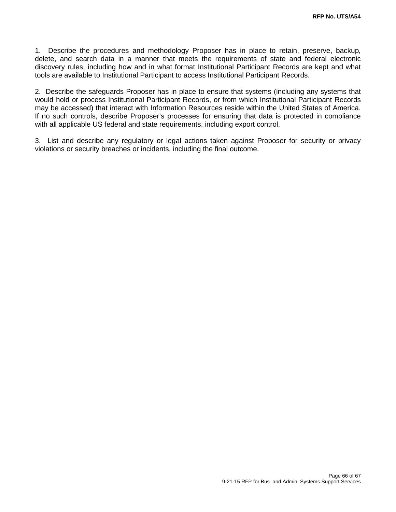1. Describe the procedures and methodology Proposer has in place to retain, preserve, backup, delete, and search data in a manner that meets the requirements of state and federal electronic discovery rules, including how and in what format Institutional Participant Records are kept and what tools are available to Institutional Participant to access Institutional Participant Records.

2. Describe the safeguards Proposer has in place to ensure that systems (including any systems that would hold or process Institutional Participant Records, or from which Institutional Participant Records may be accessed) that interact with Information Resources reside within the United States of America. If no such controls, describe Proposer's processes for ensuring that data is protected in compliance with all applicable US federal and state requirements, including export control.

3. List and describe any regulatory or legal actions taken against Proposer for security or privacy violations or security breaches or incidents, including the final outcome.